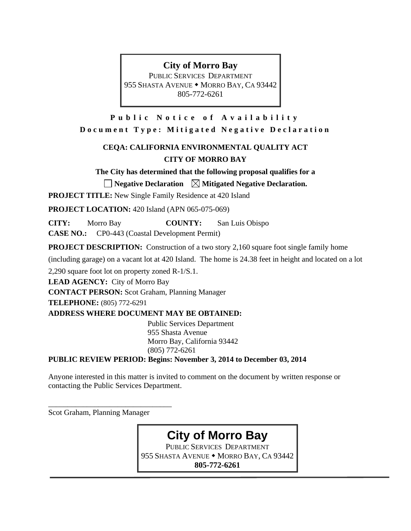# **City of Morro Bay**

PUBLIC SERVICES DEPARTMENT 955 SHASTA AVENUE • MORRO BAY, CA 93442 805-772-6261

**Public Notice of Availability Document Type: Mitigated Negative Declaration** 

# **CEQA: CALIFORNIA ENVIRONMENTAL QUALITY ACT CITY OF MORRO BAY**

**The City has determined that the following proposal qualifies for a** 

 $\Box$  Negative Declaration  $\Box$  Mitigated Negative Declaration.

**PROJECT TITLE:** New Single Family Residence at 420 Island

**PROJECT LOCATION:** 420 Island (APN 065-075-069)

**CITY:** Morro Bay **COUNTY:** San Luis Obispo

**CASE NO.:** CP0-443 (Coastal Development Permit)

**PROJECT DESCRIPTION:** Construction of a two story 2,160 square foot single family home

(including garage) on a vacant lot at 420 Island. The home is 24.38 feet in height and located on a lot

2,290 square foot lot on property zoned R-1/S.1.

**LEAD AGENCY:** City of Morro Bay

**CONTACT PERSON:** Scot Graham, Planning Manager

**TELEPHONE:** (805) 772-6291

**ADDRESS WHERE DOCUMENT MAY BE OBTAINED:** 

Public Services Department 955 Shasta Avenue Morro Bay, California 93442 (805) 772-6261

**PUBLIC REVIEW PERIOD: Begins: November 3, 2014 to December 03, 2014** 

Anyone interested in this matter is invited to comment on the document by written response or contacting the Public Services Department.

Scot Graham, Planning Manager

\_\_\_\_\_\_\_\_\_\_\_\_\_\_\_\_\_\_\_\_\_\_\_\_\_\_\_\_\_\_\_\_

**City of Morro Bay** 

PUBLIC SERVICES DEPARTMENT 955 SHASTA AVENUE • MORRO BAY, CA 93442 **805-772-6261**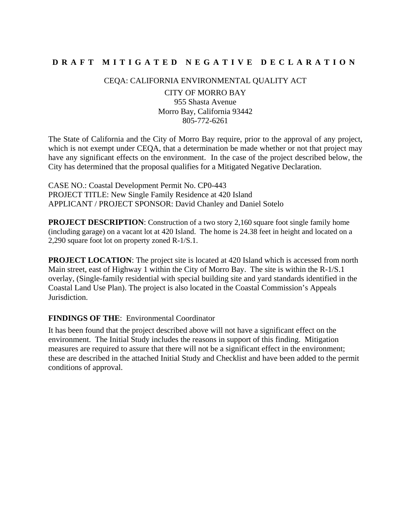# **DRAFT MITIGATED NEGA TIVE DECLARATION**

CEQA: CALIFORNIA ENVIRONMENTAL QUALITY ACT

CITY OF MORRO BAY 955 Shasta Avenue Morro Bay, California 93442 805-772-6261

The State of California and the City of Morro Bay require, prior to the approval of any project, which is not exempt under CEOA, that a determination be made whether or not that project may have any significant effects on the environment. In the case of the project described below, the City has determined that the proposal qualifies for a Mitigated Negative Declaration.

CASE NO.: Coastal Development Permit No. CP0-443 PROJECT TITLE: New Single Family Residence at 420 Island APPLICANT / PROJECT SPONSOR: David Chanley and Daniel Sotelo

**PROJECT DESCRIPTION:** Construction of a two story 2,160 square foot single family home (including garage) on a vacant lot at 420 Island. The home is 24.38 feet in height and located on a 2,290 square foot lot on property zoned R-1/S.1.

**PROJECT LOCATION:** The project site is located at 420 Island which is accessed from north Main street, east of Highway 1 within the City of Morro Bay. The site is within the R-1/S.1 overlay, (Single-family residential with special building site and yard standards identified in the Coastal Land Use Plan). The project is also located in the Coastal Commission's Appeals Jurisdiction.

# **FINDINGS OF THE**: Environmental Coordinator

It has been found that the project described above will not have a significant effect on the environment. The Initial Study includes the reasons in support of this finding. Mitigation measures are required to assure that there will not be a significant effect in the environment; these are described in the attached Initial Study and Checklist and have been added to the permit conditions of approval.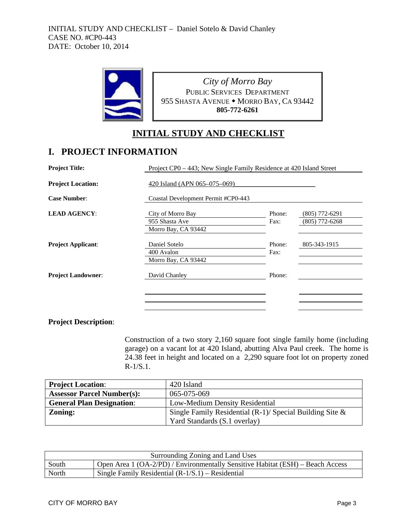

*City of Morro Bay* PUBLIC SERVICES DEPARTMENT 955 SHASTA AVENUE • MORRO BAY, CA 93442 **805-772-6261**

# **INITIAL STUDY AND CHECKLIST**

# **I. PROJECT INFORMATION**

| <b>Project Title:</b>     |                                                            | Project CP0 - 443; New Single Family Residence at 420 Island Street |                                    |  |  |  |  |
|---------------------------|------------------------------------------------------------|---------------------------------------------------------------------|------------------------------------|--|--|--|--|
| <b>Project Location:</b>  | 420 Island (APN 065-075-069)                               |                                                                     |                                    |  |  |  |  |
| <b>Case Number:</b>       | Coastal Development Permit #CP0-443                        |                                                                     |                                    |  |  |  |  |
| <b>LEAD AGENCY:</b>       | City of Morro Bay<br>955 Shasta Ave<br>Morro Bay, CA 93442 | Phone:<br>Fax:                                                      | (805) 772-6291<br>$(805)$ 772-6268 |  |  |  |  |
| <b>Project Applicant:</b> | Daniel Sotelo<br>400 Avalon<br>Morro Bay, CA 93442         | Phone:<br>Fax:                                                      | 805-343-1915                       |  |  |  |  |
| <b>Project Landowner:</b> | David Chanley                                              | Phone:                                                              |                                    |  |  |  |  |
|                           |                                                            |                                                                     |                                    |  |  |  |  |

**Project Description**:

Construction of a two story 2,160 square foot single family home (including garage) on a vacant lot at 420 Island, abutting Alva Paul creek. The home is 24.38 feet in height and located on a 2,290 square foot lot on property zoned  $R-1/S.1.$ 

| <b>Project Location:</b>          | 420 Island                                                  |
|-----------------------------------|-------------------------------------------------------------|
| <b>Assessor Parcel Number(s):</b> | $065 - 075 - 069$                                           |
| <b>General Plan Designation:</b>  | Low-Medium Density Residential                              |
| Zoning:                           | Single Family Residential $(R-1)$ / Special Building Site & |
|                                   | Yard Standards (S.1 overlay)                                |

| Surrounding Zoning and Land Uses |                                                                                |  |  |  |
|----------------------------------|--------------------------------------------------------------------------------|--|--|--|
| South                            | Open Area 1 (OA-2/PD) / Environmentally Sensitive Habitat (ESH) – Beach Access |  |  |  |
| North                            | Single Family Residential $(R-1/S.1)$ – Residential                            |  |  |  |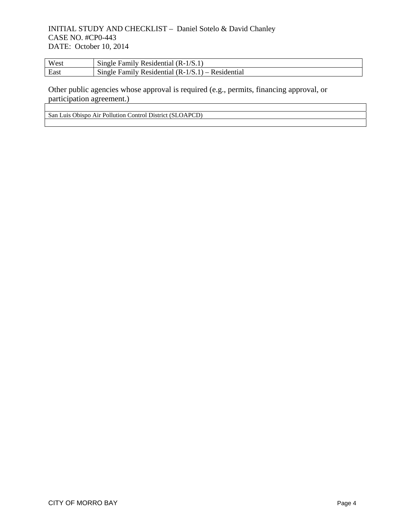| West | Single Family Residential $(R-1/S.1)$               |
|------|-----------------------------------------------------|
| East | Single Family Residential $(R-1/S.1)$ – Residential |

Other public agencies whose approval is required (e.g., permits, financing approval, or participation agreement.)

San Luis Obispo Air Pollution Control District (SLOAPCD)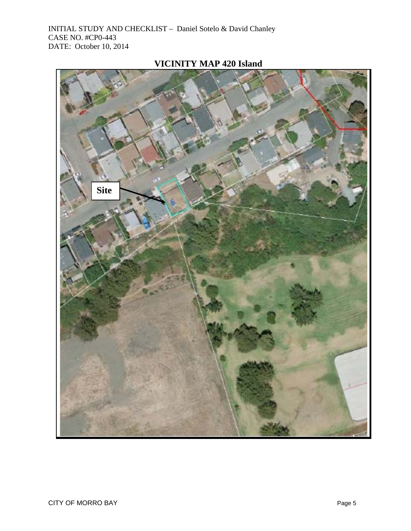

# **VICINITY MAP 420 Island**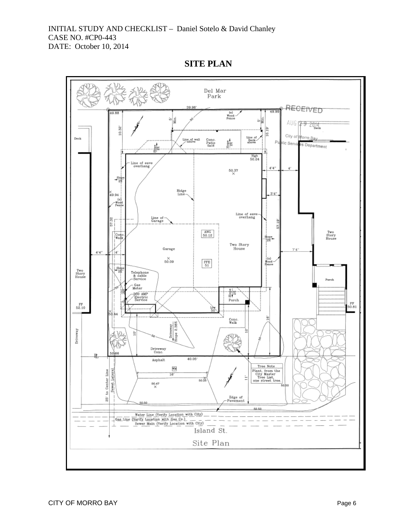$_{\rm Park}^{\rm Del~Mar}$ RECEIVED 39.96 (e)<br>Wood-<br>Fence  $AUG$   $79.2014$ û. Мiп. 이름 10.32 10.19 ъ City of Morro B Line of<br>Deck-<br>above Deck Line of wall Conc.<br>Patio<br>5x16 ay  $\frac{8}{28}$ c Serv es Department 背 **High**<br>50.24 Line of eave<br>overhang  $4^{\prime}4^{\prime\prime}$ ¢  $50.37$  $rac{slap}{2\frac{1}{2}}$ Ridge<br>Line- $3'4'$ 。<br>49.94  $\begin{array}{c} \text{Line of } \text{eave} \\ \text{overhang} \end{array}$ Line of<br>Garage  $\frac{1}{2}$  $\frac{\text{ANG}}{50.12}$ Two<br>Story<br>House  $\frac{\text{Con}}{\text{Wall}}$ Slope<br>|ast Two Story<br>House Garage  $7'4$ i4'  $(e)$  $50.09$  $_{\rm 61}^{\rm FFE}$ 뙗 Two<br>Story<br>House Telephone<br>& cable<br>-Service Porch - Gas<br>Meter  $\begin{array}{c}\n\frac{a}{b} \\
\frac{b}{b} \\
\frac{c}{c} \\
\end{array}$ 200 AMP<br>Electric<br>Service  $_{\rm 52.10}^{\rm FF}$ FF<br>50.81 iàn<br>50 ĩю Conc.<br>Walk Driveway<br>lope 2.38% Driveway ₫ Driveway<br>Conc. Asphalt  $40.05^{\circ}$ Tree Note VМ  $\begin{tabular}{p{0.85\textwidth}} \textbf{Plant, from the} \\ \textbf{City Master} \\ \textbf{Tree List,} \\ \textbf{one street tree.} \end{tabular}$ Sewet Lateral Center Line  $16'$  $50.26$  $\overset{50.47}{\times}$  $\mathfrak{g}$ Edge of<br>Pavement  $\mathbf{\hat{g}}$ 50.50 50.50 Island St. Site Plan

**SITE PLAN**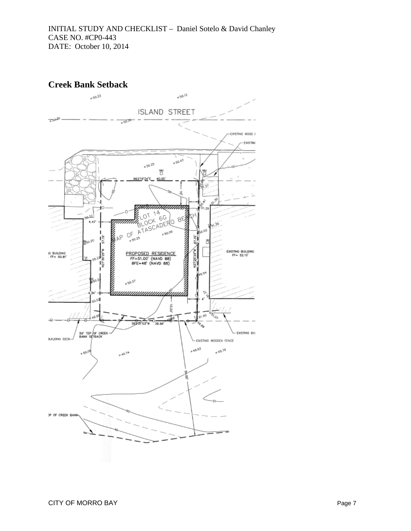

# **Creek Bank Setback**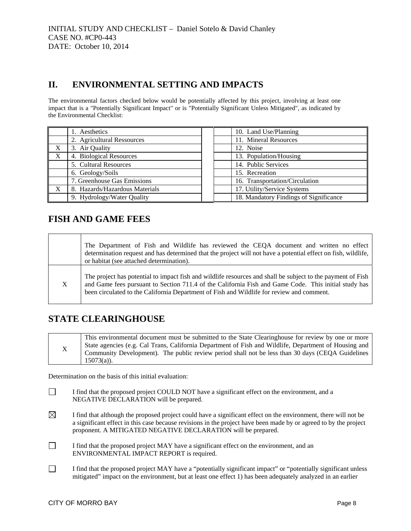# **II. ENVIRONMENTAL SETTING AND IMPACTS**

The environmental factors checked below would be potentially affected by this project, involving at least one impact that is a "Potentially Significant Impact" or is "Potentially Significant Unless Mitigated", as indicated by the Environmental Checklist:

|   | 1. Aesthetics                  |  | 10. Land Use/Planning                  |
|---|--------------------------------|--|----------------------------------------|
|   | 2. Agricultural Ressources     |  | 11. Mineral Resources                  |
| X | 3. Air Quality                 |  | 12. Noise                              |
| X | 4. Biological Resources        |  | 13. Population/Housing                 |
|   | 5. Cultural Resources          |  | 14. Public Services                    |
|   | 6. Geology/Soils               |  | 15. Recreation                         |
|   | 7. Greenhouse Gas Emissions    |  | 16. Transportation/Circulation         |
| X | 8. Hazards/Hazardous Materials |  | 17. Utility/Service Systems            |
|   | 9. Hydrology/Water Quality     |  | 18. Mandatory Findings of Significance |

# **FISH AND GAME FEES**

|   | The Department of Fish and Wildlife has reviewed the CEQA document and written no effect<br>determination request and has determined that the project will not have a potential effect on fish, wildlife,<br>or habitat (see attached determination).                                                            |
|---|------------------------------------------------------------------------------------------------------------------------------------------------------------------------------------------------------------------------------------------------------------------------------------------------------------------|
| X | The project has potential to impact fish and wildlife resources and shall be subject to the payment of Fish<br>and Game fees pursuant to Section 711.4 of the California Fish and Game Code. This initial study has<br>been circulated to the California Department of Fish and Wildlife for review and comment. |

# **STATE CLEARINGHOUSE**

|             | This environmental document must be submitted to the State Clearinghouse for review by one or more<br>State agencies (e.g. Cal Trans, California Department of Fish and Wildlife, Department of Housing and |  |  |  |  |
|-------------|-------------------------------------------------------------------------------------------------------------------------------------------------------------------------------------------------------------|--|--|--|--|
| $\mathbf X$ | Community Development). The public review period shall not be less than 30 days (CEQA Guidelines<br>$15073(a)$ ).                                                                                           |  |  |  |  |

Determination on the basis of this initial evaluation:

- I find that the proposed project COULD NOT have a significant effect on the environment, and a NEGATIVE DECLARATION will be prepared.
- $\boxtimes$  I find that although the proposed project could have a significant effect on the environment, there will not be a significant effect in this case because revisions in the project have been made by or agreed to by the project proponent. A MITIGATED NEGATIVE DECLARATION will be prepared.
- I find that the proposed project MAY have a significant effect on the environment, and an ENVIRONMENTAL IMPACT REPORT is required.
- $\Box$  I find that the proposed project MAY have a "potentially significant impact" or "potentially significant unless mitigated" impact on the environment, but at least one effect 1) has been adequately analyzed in an earlier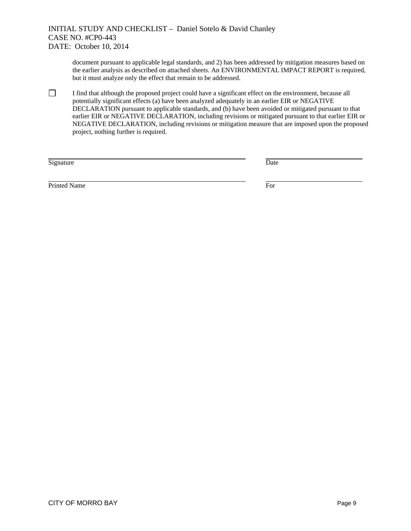document pursuant to applicable legal standards, and 2) has been addressed by mitigation measures based on the earlier analysis as described on attached sheets. An ENVIRONMENTAL IMPACT REPORT is required, but it must analyze only the effect that remain to be addressed.

 $\Box$  I find that although the proposed project could have a significant effect on the environment, because all potentially significant effects (a) have been analyzed adequately in an earlier EIR or NEGATIVE DECLARATION pursuant to applicable standards, and (b) have been avoided or mitigated pursuant to that earlier EIR or NEGATIVE DECLARATION, including revisions or mitigated pursuant to that earlier EIR or NEGATIVE DECLARATION, including revisions or mitigation measure that are imposed upon the proposed project, nothing further is required.

Signature

| ٧<br>- - -<br>۰.<br>× |
|-----------------------|
|                       |

Printed Name For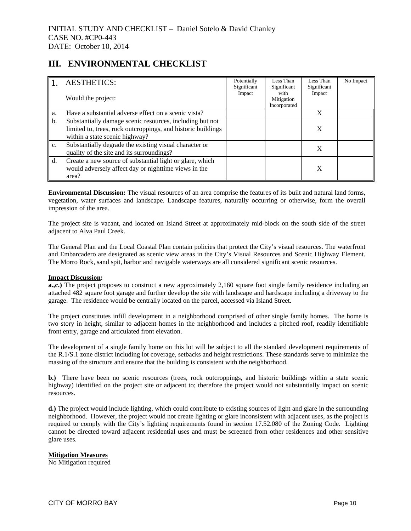# **III. ENVIRONMENTAL CHECKLIST**

|             | <b>AESTHETICS:</b>                                                                                                                                         | Potentially<br>Significant | Less Than<br>Significant           | Less Than<br>Significant | No Impact |
|-------------|------------------------------------------------------------------------------------------------------------------------------------------------------------|----------------------------|------------------------------------|--------------------------|-----------|
|             | Would the project:                                                                                                                                         | Impact                     | with<br>Mitigation<br>Incorporated | Impact                   |           |
| a.          | Have a substantial adverse effect on a scenic vista?                                                                                                       |                            |                                    | X                        |           |
| b.          | Substantially damage scenic resources, including but not<br>limited to, trees, rock outcroppings, and historic buildings<br>within a state scenic highway? |                            |                                    | X                        |           |
| $C_{\star}$ | Substantially degrade the existing visual character or<br>quality of the site and its surroundings?                                                        |                            |                                    | X                        |           |
| d.          | Create a new source of substantial light or glare, which<br>would adversely affect day or nighttime views in the<br>area?                                  |                            |                                    | X                        |           |

**Environmental Discussion:** The visual resources of an area comprise the features of its built and natural land forms, vegetation, water surfaces and landscape. Landscape features, naturally occurring or otherwise, form the overall impression of the area.

The project site is vacant, and located on Island Street at approximately mid-block on the south side of the street adjacent to Alva Paul Creek.

The General Plan and the Local Coastal Plan contain policies that protect the City's visual resources. The waterfront and Embarcadero are designated as scenic view areas in the City's Visual Resources and Scenic Highway Element. The Morro Rock, sand spit, harbor and navigable waterways are all considered significant scenic resources.

## **Impact Discussion:**

**a.,c.)** The project proposes to construct a new approximately 2,160 square foot single family residence including an attached 482 square foot garage and further develop the site with landscape and hardscape including a driveway to the garage. The residence would be centrally located on the parcel, accessed via Island Street.

The project constitutes infill development in a neighborhood comprised of other single family homes. The home is two story in height, similar to adjacent homes in the neighborhood and includes a pitched roof, readily identifiable front entry, garage and articulated front elevation.

The development of a single family home on this lot will be subject to all the standard development requirements of the R.1/S.1 zone district including lot coverage, setbacks and height restrictions. These standards serve to minimize the massing of the structure and ensure that the building is consistent with the neighborhood.

**b.)** There have been no scenic resources (trees, rock outcroppings, and historic buildings within a state scenic highway) identified on the project site or adjacent to; therefore the project would not substantially impact on scenic resources.

**d.)** The project would include lighting, which could contribute to existing sources of light and glare in the surrounding neighborhood. However, the project would not create lighting or glare inconsistent with adjacent uses, as the project is required to comply with the City's lighting requirements found in section 17.52.080 of the Zoning Code. Lighting cannot be directed toward adjacent residential uses and must be screened from other residences and other sensitive glare uses.

## **Mitigation Measures**

No Mitigation required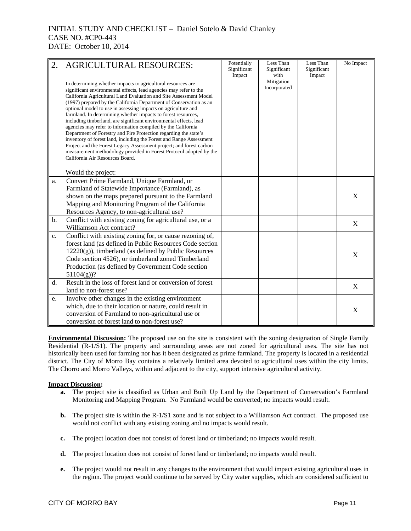|       | <b>AGRICULTURAL RESOURCES:</b><br>In determining whether impacts to agricultural resources are<br>significant environmental effects, lead agencies may refer to the<br>California Agricultural Land Evaluation and Site Assessment Model<br>(1997) prepared by the California Department of Conservation as an<br>optional model to use in assessing impacts on agriculture and<br>farmland. In determining whether impacts to forest resources,<br>including timberland, are significant environmental effects, lead<br>agencies may refer to information compiled by the California<br>Department of Forestry and Fire Protection regarding the state's<br>inventory of forest land, including the Forest and Range Assessment<br>Project and the Forest Legacy Assessment project; and forest carbon<br>measurement methodology provided in Forest Protocol adopted by the<br>California Air Resources Board.<br>Would the project: | Potentially<br>Significant<br>Impact | Less Than<br>Significant<br>with<br>Mitigation<br>Incorporated | Less Than<br>Significant<br>Impact | No Impact   |
|-------|----------------------------------------------------------------------------------------------------------------------------------------------------------------------------------------------------------------------------------------------------------------------------------------------------------------------------------------------------------------------------------------------------------------------------------------------------------------------------------------------------------------------------------------------------------------------------------------------------------------------------------------------------------------------------------------------------------------------------------------------------------------------------------------------------------------------------------------------------------------------------------------------------------------------------------------|--------------------------------------|----------------------------------------------------------------|------------------------------------|-------------|
| a.    | Convert Prime Farmland, Unique Farmland, or<br>Farmland of Statewide Importance (Farmland), as<br>shown on the maps prepared pursuant to the Farmland<br>Mapping and Monitoring Program of the California<br>Resources Agency, to non-agricultural use?                                                                                                                                                                                                                                                                                                                                                                                                                                                                                                                                                                                                                                                                                |                                      |                                                                |                                    | X           |
| $b$ . | Conflict with existing zoning for agricultural use, or a<br>Williamson Act contract?                                                                                                                                                                                                                                                                                                                                                                                                                                                                                                                                                                                                                                                                                                                                                                                                                                                   |                                      |                                                                |                                    | $\mathbf X$ |
| c.    | Conflict with existing zoning for, or cause rezoning of,<br>forest land (as defined in Public Resources Code section<br>$12220(g)$ ), timberland (as defined by Public Resources<br>Code section 4526), or timberland zoned Timberland<br>Production (as defined by Government Code section<br>$51104(g)$ ?                                                                                                                                                                                                                                                                                                                                                                                                                                                                                                                                                                                                                            |                                      |                                                                |                                    | X           |
| d.    | Result in the loss of forest land or conversion of forest<br>land to non-forest use?                                                                                                                                                                                                                                                                                                                                                                                                                                                                                                                                                                                                                                                                                                                                                                                                                                                   |                                      |                                                                |                                    | X           |
| e.    | Involve other changes in the existing environment<br>which, due to their location or nature, could result in<br>conversion of Farmland to non-agricultural use or<br>conversion of forest land to non-forest use?                                                                                                                                                                                                                                                                                                                                                                                                                                                                                                                                                                                                                                                                                                                      |                                      |                                                                |                                    | X           |

**Environmental Discussion:** The proposed use on the site is consistent with the zoning designation of Single Family Residential (R-1/S1). The property and surrounding areas are not zoned for agricultural uses. The site has not historically been used for farming nor has it been designated as prime farmland. The property is located in a residential district. The City of Morro Bay contains a relatively limited area devoted to agricultural uses within the city limits. The Chorro and Morro Valleys, within and adjacent to the city, support intensive agricultural activity.

#### **Impact Discussion:**

- **a.** The project site is classified as Urban and Built Up Land by the Department of Conservation's Farmland Monitoring and Mapping Program. No Farmland would be converted; no impacts would result.
- **b.** The project site is within the R-1/S1 zone and is not subject to a Williamson Act contract. The proposed use would not conflict with any existing zoning and no impacts would result.
- **c.** The project location does not consist of forest land or timberland; no impacts would result.
- **d.** The project location does not consist of forest land or timberland; no impacts would result.
- **e.** The project would not result in any changes to the environment that would impact existing agricultural uses in the region. The project would continue to be served by City water supplies, which are considered sufficient to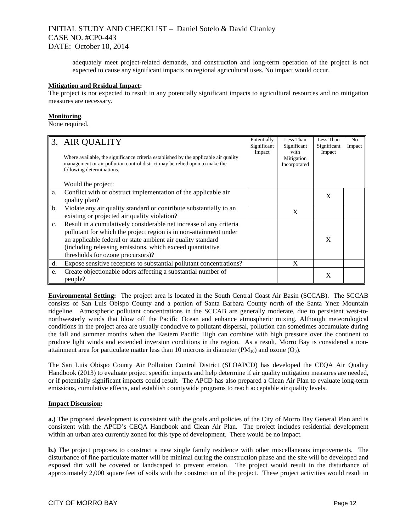adequately meet project-related demands, and construction and long-term operation of the project is not expected to cause any significant impacts on regional agricultural uses. No impact would occur.

#### **Mitigation and Residual Impact:**

The project is not expected to result in any potentially significant impacts to agricultural resources and no mitigation measures are necessary.

### **Monitoring**.

None required.

|                | 3. AIR QUALITY<br>Where available, the significance criteria established by the applicable air quality<br>management or air pollution control district may be relied upon to make the<br>following determinations.                                                                                       | Potentially<br>Significant<br>Impact | Less Than<br>Significant<br>with<br>Mitigation<br>Incorporated | Less Than<br>Significant<br>Impact | N <sub>0</sub><br>Impact |
|----------------|----------------------------------------------------------------------------------------------------------------------------------------------------------------------------------------------------------------------------------------------------------------------------------------------------------|--------------------------------------|----------------------------------------------------------------|------------------------------------|--------------------------|
|                | Would the project:                                                                                                                                                                                                                                                                                       |                                      |                                                                |                                    |                          |
| a.             | Conflict with or obstruct implementation of the applicable air<br>quality plan?                                                                                                                                                                                                                          |                                      |                                                                | X                                  |                          |
| b.             | Violate any air quality standard or contribute substantially to an<br>existing or projected air quality violation?                                                                                                                                                                                       |                                      | X                                                              |                                    |                          |
| $\mathbf{c}$ . | Result in a cumulatively considerable net increase of any criteria<br>pollutant for which the project region is in non-attainment under<br>an applicable federal or state ambient air quality standard<br>(including releasing emissions, which exceed quantitative<br>thresholds for ozone precursors)? |                                      |                                                                | X                                  |                          |
| d.             | Expose sensitive receptors to substantial pollutant concentrations?                                                                                                                                                                                                                                      |                                      | X                                                              |                                    |                          |
| e.             | Create objectionable odors affecting a substantial number of<br>people?                                                                                                                                                                                                                                  |                                      |                                                                | X                                  |                          |

**Environmental Setting:** The project area is located in the South Central Coast Air Basin (SCCAB). The SCCAB consists of San Luis Obispo County and a portion of Santa Barbara County north of the Santa Ynez Mountain ridgeline. Atmospheric pollutant concentrations in the SCCAB are generally moderate, due to persistent west-tonorthwesterly winds that blow off the Pacific Ocean and enhance atmospheric mixing. Although meteorological conditions in the project area are usually conducive to pollutant dispersal, pollution can sometimes accumulate during the fall and summer months when the Eastern Pacific High can combine with high pressure over the continent to produce light winds and extended inversion conditions in the region. As a result, Morro Bay is considered a nonattainment area for particulate matter less than 10 microns in diameter  $(PM_{10})$  and ozone  $(O_3)$ .

The San Luis Obispo County Air Pollution Control District (SLOAPCD) has developed the CEQA Air Quality Handbook (2013) to evaluate project specific impacts and help determine if air quality mitigation measures are needed, or if potentially significant impacts could result. The APCD has also prepared a Clean Air Plan to evaluate long-term emissions, cumulative effects, and establish countywide programs to reach acceptable air quality levels.

#### **Impact Discussion:**

**a.)** The proposed development is consistent with the goals and policies of the City of Morro Bay General Plan and is consistent with the APCD's CEQA Handbook and Clean Air Plan. The project includes residential development within an urban area currently zoned for this type of development. There would be no impact.

**b.)** The project proposes to construct a new single family residence with other miscellaneous improvements. The disturbance of fine particulate matter will be minimal during the construction phase and the site will be developed and exposed dirt will be covered or landscaped to prevent erosion. The project would result in the disturbance of approximately 2,000 square feet of soils with the construction of the project. These project activities would result in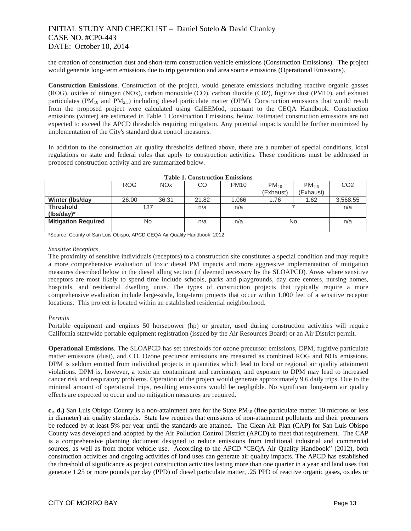the creation of construction dust and short-term construction vehicle emissions (Construction Emissions). The project would generate long-term emissions due to trip generation and area source emissions (Operational Emissions).

**Construction Emissions**. Construction of the project, would generate emissions including reactive organic gasses (ROG), oxides of nitrogen (NOx), carbon monoxide (CO), carbon dioxide (C02), fugitive dust (PM10), and exhaust particulates ( $PM_{10}$  and  $PM_{2.5}$ ) including diesel particulate matter (DPM). Construction emissions that would result from the proposed project were calculated using CalEEMod, pursuant to the CEQA Handbook. Construction emissions (winter) are estimated in Table 1 Construction Emissions, below. Estimated construction emissions are not expected to exceed the APCD thresholds requiring mitigation. Any potential impacts would be further minimized by implementation of the City's standard dust control measures.

In addition to the construction air quality thresholds defined above, there are a number of special conditions, local regulations or state and federal rules that apply to construction activities. These conditions must be addressed in proposed construction activity and are summarized below.

|                            | <b>ROG</b> | <b>NO<sub>x</sub></b> | CO    | <b>PM10</b> | $PM_{10}$ | PM <sub>2.5</sub> | CO <sub>2</sub> |
|----------------------------|------------|-----------------------|-------|-------------|-----------|-------------------|-----------------|
|                            |            |                       |       |             | (Exhaust) | (Exhaust)         |                 |
| <b>Winter (Ibs/day</b>     | 26.00      | 36.31                 | 21.82 | 1.066       | 1.76      | 1.62              | 3,568.55        |
| <b>Threshold</b>           | 137        |                       | n/a   | n/a         |           |                   | n/a             |
| $(lbs/day)^*$              |            |                       |       |             |           |                   |                 |
| <b>Mitigation Required</b> |            | No                    | n/a   | n/a         | No        |                   | n/a             |
|                            |            |                       |       |             |           |                   |                 |

**Table 1. Construction Emissions** 

\*Source: County of San Luis Obispo, APCD CEQA Air Quality Handbook, 2012

#### *Sensitive Receptors*

The proximity of sensitive individuals (receptors) to a construction site constitutes a special condition and may require a more comprehensive evaluation of toxic diesel PM impacts and more aggressive implementation of mitigation measures described below in the diesel idling section (if deemed necessary by the SLOAPCD). Areas where sensitive receptors are most likely to spend time include schools, parks and playgrounds, day care centers, nursing homes, hospitals, and residential dwelling units. The types of construction projects that typically require a more comprehensive evaluation include large-scale, long-term projects that occur within 1,000 feet of a sensitive receptor locations. This project is located within an established residential neighborhood.

#### *Permits*

Portable equipment and engines 50 horsepower (hp) or greater, used during construction activities will require California statewide portable equipment registration (issued by the Air Resources Board) or an Air District permit.

**Operational Emissions**. The SLOAPCD has set thresholds for ozone precursor emissions, DPM, fugitive particulate matter emissions (dust), and CO. Ozone precursor emissions are measured as combined ROG and NOx emissions. DPM is seldom emitted from individual projects in quantities which lead to local or regional air quality attainment violations. DPM is, however, a toxic air contaminant and carcinogen, and exposure to DPM may lead to increased cancer risk and respiratory problems. Operation of the project would generate approximately 9.6 daily trips. Due to the minimal amount of operational trips, resulting emissions would be negligible. No significant long-term air quality effects are expected to occur and no mitigation measures are required.

**c., d.)** San Luis Obispo County is a non-attainment area for the State PM<sub>10</sub> (fine particulate matter 10 microns or less in diameter) air quality standards. State law requires that emissions of non-attainment pollutants and their precursors be reduced by at least 5% per year until the standards are attained. The Clean Air Plan (CAP) for San Luis Obispo County was developed and adopted by the Air Pollution Control District (APCD) to meet that requirement. The CAP is a comprehensive planning document designed to reduce emissions from traditional industrial and commercial sources, as well as from motor vehicle use. According to the APCD "CEQA Air Quality Handbook" (2012), both construction activities and ongoing activities of land uses can generate air quality impacts. The APCD has established the threshold of significance as project construction activities lasting more than one quarter in a year and land uses that generate 1.25 or more pounds per day (PPD) of diesel particulate matter, .25 PPD of reactive organic gases, oxides or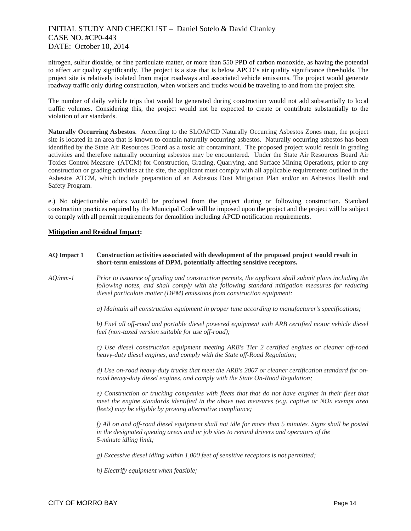nitrogen, sulfur dioxide, or fine particulate matter, or more than 550 PPD of carbon monoxide, as having the potential to affect air quality significantly. The project is a size that is below APCD's air quality significance thresholds. The project site is relatively isolated from major roadways and associated vehicle emissions. The project would generate roadway traffic only during construction, when workers and trucks would be traveling to and from the project site.

The number of daily vehicle trips that would be generated during construction would not add substantially to local traffic volumes. Considering this, the project would not be expected to create or contribute substantially to the violation of air standards.

**Naturally Occurring Asbestos**. According to the SLOAPCD Naturally Occurring Asbestos Zones map, the project site is located in an area that is known to contain naturally occurring asbestos. Naturally occurring asbestos has been identified by the State Air Resources Board as a toxic air contaminant. The proposed project would result in grading activities and therefore naturally occurring asbestos may be encountered. Under the State Air Resources Board Air Toxics Control Measure (ATCM) for Construction, Grading, Quarrying, and Surface Mining Operations, prior to any construction or grading activities at the site, the applicant must comply with all applicable requirements outlined in the Asbestos ATCM, which include preparation of an Asbestos Dust Mitigation Plan and/or an Asbestos Health and Safety Program.

e.) No objectionable odors would be produced from the project during or following construction. Standard construction practices required by the Municipal Code will be imposed upon the project and the project will be subject to comply with all permit requirements for demolition including APCD notification requirements.

### **Mitigation and Residual Impact:**

#### **AQ Impact 1 Construction activities associated with development of the proposed project would result in short-term emissions of DPM, potentially affecting sensitive receptors.**

*AQ/mm-1 Prior to issuance of grading and construction permits, the applicant shall submit plans including the following notes, and shall comply with the following standard mitigation measures for reducing diesel particulate matter (DPM) emissions from construction equipment:* 

*a) Maintain all construction equipment in proper tune according to manufacturer's specifications;* 

*b) Fuel all off-road and portable diesel powered equipment with ARB certified motor vehicle diesel fuel (non-taxed version suitable for use off-road);* 

*c) Use diesel construction equipment meeting ARB's Tier 2 certified engines or cleaner off-road heavy-duty diesel engines, and comply with the State off-Road Regulation;* 

*d) Use on-road heavy-duty trucks that meet the ARB's 2007 or cleaner certification standard for onroad heavy-duty diesel engines, and comply with the State On-Road Regulation;* 

*e) Construction or trucking companies with fleets that that do not have engines in their fleet that meet the engine standards identified in the above two measures (e.g. captive or NOx exempt area fleets) may be eligible by proving alternative compliance;* 

*f) All on and off-road diesel equipment shall not idle for more than 5 minutes. Signs shall be posted in the designated queuing areas and or job sites to remind drivers and operators of the 5-minute idling limit;* 

*g) Excessive diesel idling within 1,000 feet of sensitive receptors is not permitted;* 

*h) Electrify equipment when feasible;*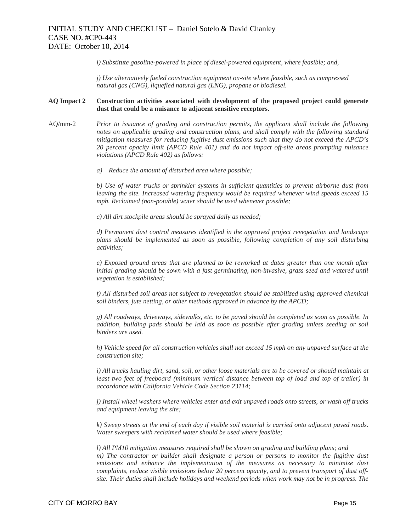*i) Substitute gasoline-powered in place of diesel-powered equipment, where feasible; and,* 

*j) Use alternatively fueled construction equipment on-site where feasible, such as compressed natural gas (CNG), liquefied natural gas (LNG), propane or biodiesel.* 

## **AQ Impact 2 Construction activities associated with development of the proposed project could generate dust that could be a nuisance to adjacent sensitive receptors.**

- AQ/mm-2*Prior to issuance of grading and construction permits, the applicant shall include the following notes on applicable grading and construction plans, and shall comply with the following standard mitigation measures for reducing fugitive dust emissions such that they do not exceed the APCD's 20 percent opacity limit (APCD Rule 401) and do not impact off-site areas prompting nuisance violations (APCD Rule 402) as follows:* 
	- *a) Reduce the amount of disturbed area where possible;*

*b) Use of water trucks or sprinkler systems in sufficient quantities to prevent airborne dust from leaving the site. Increased watering frequency would be required whenever wind speeds exceed 15 mph. Reclaimed (non-potable) water should be used whenever possible;* 

*c) All dirt stockpile areas should be sprayed daily as needed;* 

*d) Permanent dust control measures identified in the approved project revegetation and landscape plans should be implemented as soon as possible, following completion of any soil disturbing activities;* 

*e) Exposed ground areas that are planned to be reworked at dates greater than one month after initial grading should be sown with a fast germinating, non-invasive, grass seed and watered until vegetation is established;* 

*f) All disturbed soil areas not subject to revegetation should be stabilized using approved chemical soil binders, jute netting, or other methods approved in advance by the APCD;* 

*g) All roadways, driveways, sidewalks, etc. to be paved should be completed as soon as possible. In addition, building pads should be laid as soon as possible after grading unless seeding or soil binders are used.* 

*h) Vehicle speed for all construction vehicles shall not exceed 15 mph on any unpaved surface at the construction site;* 

*i) All trucks hauling dirt, sand, soil, or other loose materials are to be covered or should maintain at least two feet of freeboard (minimum vertical distance between top of load and top of trailer) in accordance with California Vehicle Code Section 23114;* 

*j) Install wheel washers where vehicles enter and exit unpaved roads onto streets, or wash off trucks and equipment leaving the site;* 

*k) Sweep streets at the end of each day if visible soil material is carried onto adjacent paved roads. Water sweepers with reclaimed water should be used where feasible;* 

*l) All PM10 mitigation measures required shall be shown on grading and building plans; and m) The contractor or builder shall designate a person or persons to monitor the fugitive dust emissions and enhance the implementation of the measures as necessary to minimize dust complaints, reduce visible emissions below 20 percent opacity, and to prevent transport of dust offsite. Their duties shall include holidays and weekend periods when work may not be in progress. The*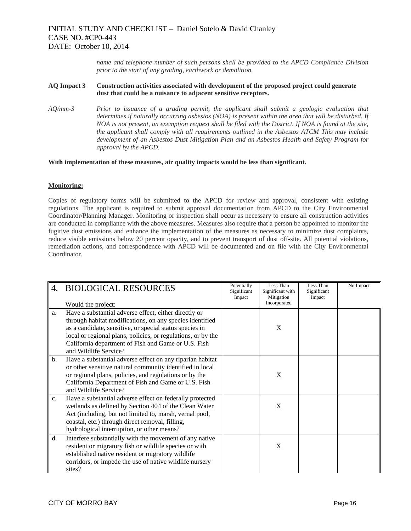*name and telephone number of such persons shall be provided to the APCD Compliance Division prior to the start of any grading, earthwork or demolition.* 

#### **AQ Impact 3 Construction activities associated with development of the proposed project could generate dust that could be a nuisance to adjacent sensitive receptors.**

*AQ/mm-3 Prior to issuance of a grading permit, the applicant shall submit a geologic evaluation that determines if naturally occurring asbestos (NOA) is present within the area that will be disturbed. If NOA is not present, an exemption request shall be filed with the District. If NOA is found at the site, the applicant shall comply with all requirements outlined in the Asbestos ATCM This may include development of an Asbestos Dust Mitigation Plan and an Asbestos Health and Safety Program for approval by the APCD.* 

#### **With implementation of these measures, air quality impacts would be less than significant.**

#### **Monitoring:**

Copies of regulatory forms will be submitted to the APCD for review and approval, consistent with existing regulations. The applicant is required to submit approval documentation from APCD to the City Environmental Coordinator/Planning Manager. Monitoring or inspection shall occur as necessary to ensure all construction activities are conducted in compliance with the above measures. Measures also require that a person be appointed to monitor the fugitive dust emissions and enhance the implementation of the measures as necessary to minimize dust complaints, reduce visible emissions below 20 percent opacity, and to prevent transport of dust off-site. All potential violations, remediation actions, and correspondence with APCD will be documented and on file with the City Environmental Coordinator.

| 4. | <b>BIOLOGICAL RESOURCES</b><br>Would the project:                                                                                                                                                                                                                                                                            | Potentially<br>Significant<br>Impact | Less Than<br>Significant with<br>Mitigation<br>Incorporated | Less Than<br>Significant<br>Impact | No Impact |
|----|------------------------------------------------------------------------------------------------------------------------------------------------------------------------------------------------------------------------------------------------------------------------------------------------------------------------------|--------------------------------------|-------------------------------------------------------------|------------------------------------|-----------|
| a. | Have a substantial adverse effect, either directly or<br>through habitat modifications, on any species identified<br>as a candidate, sensitive, or special status species in<br>local or regional plans, policies, or regulations, or by the<br>California department of Fish and Game or U.S. Fish<br>and Wildlife Service? |                                      | X                                                           |                                    |           |
| b. | Have a substantial adverse effect on any riparian habitat<br>or other sensitive natural community identified in local<br>or regional plans, policies, and regulations or by the<br>California Department of Fish and Game or U.S. Fish<br>and Wildlife Service?                                                              |                                      | X                                                           |                                    |           |
| c. | Have a substantial adverse effect on federally protected<br>wetlands as defined by Section 404 of the Clean Water<br>Act (including, but not limited to, marsh, vernal pool,<br>coastal, etc.) through direct removal, filling,<br>hydrological interruption, or other means?                                                |                                      | X                                                           |                                    |           |
| d. | Interfere substantially with the movement of any native<br>resident or migratory fish or wildlife species or with<br>established native resident or migratory wildlife<br>corridors, or impede the use of native wildlife nursery<br>sites?                                                                                  |                                      | X                                                           |                                    |           |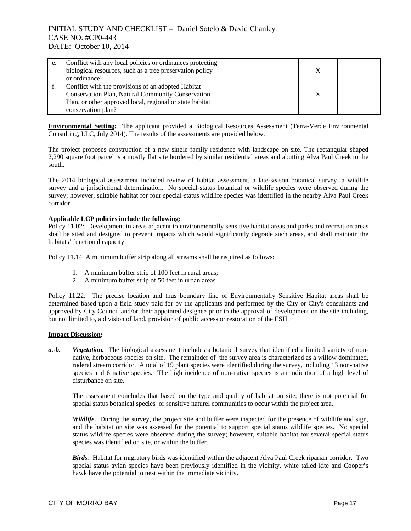| e. | Conflict with any local policies or ordinances protecting<br>biological resources, such as a tree preservation policy<br>or ordinance?                                                    |  |  |
|----|-------------------------------------------------------------------------------------------------------------------------------------------------------------------------------------------|--|--|
|    | Conflict with the provisions of an adopted Habitat<br>Conservation Plan, Natural Community Conservation<br>Plan, or other approved local, regional or state habitat<br>conservation plan? |  |  |

**Environmental Setting:** The applicant provided a Biological Resources Assessment (Terra-Verde Environmental Consulting, LLC, July 2014). The results of the assessments are provided below.

The project proposes construction of a new single family residence with landscape on site. The rectangular shaped 2,290 square foot parcel is a mostly flat site bordered by similar residential areas and abutting Alva Paul Creek to the south.

The 2014 biological assessment included review of habitat assessment, a late-season botanical survey, a wildlife survey and a jurisdictional determination. No special-status botanical or wildlife species were observed during the survey; however, suitable habitat for four special-status wildlife species was identified in the nearby Alva Paul Creek corridor.

### **Applicable LCP policies include the following:**

Policy 11.02: Development in areas adjacent to environmentally sensitive habitat areas and parks and recreation areas shall be sited and designed to prevent impacts which would significantly degrade such areas, and shall maintain the habitats' functional capacity.

Policy 11.14 A minimum buffer strip along all streams shall be required as follows:

- 1. A minimum buffer strip of 100 feet in rural areas;
- 2. A minimum buffer strip of 50 feet in urban areas.

Policy 11.22: The precise location and thus boundary line of Environmentally Sensitive Habitat areas shall be determined based upon a field study paid for by the applicants and performed by the City or City's consultants and approved by City Council and/or their appointed designee prior to the approval of development on the site including, but not limited to, a division of land. provision of public access or restoration of the ESH.

#### **Impact Discussion:**

*a.-b. Vegetation.* The biological assessment includes a botanical survey that identified a limited variety of nonnative, herbaceous species on site. The remainder of the survey area is characterized as a willow dominated, ruderal stream corridor. A total of 19 plant species were identified during the survey, including 13 non-native species and 6 native species. The high incidence of non-native species is an indication of a high level of disturbance on site.

The assessment concludes that based on the type and quality of habitat on site, there is not potential for special status botanical species or sensitive naturel communities to occur within the project area.

*Wildlife.* During the survey, the project site and buffer were inspected for the presence of wildlife and sign, and the habitat on site was assessed for the potential to support special status wildlife species. No special status wildlife species were observed during the survey; however, suitable habitat for several special status species was identified on site, or within the buffer.

*Birds.* Habitat for migratory birds was identified within the adjacent Alva Paul Creek riparian corridor. Two special status avian species have been previously identified in the vicinity, white tailed kite and Cooper's hawk have the potential to nest within the immediate vicinity.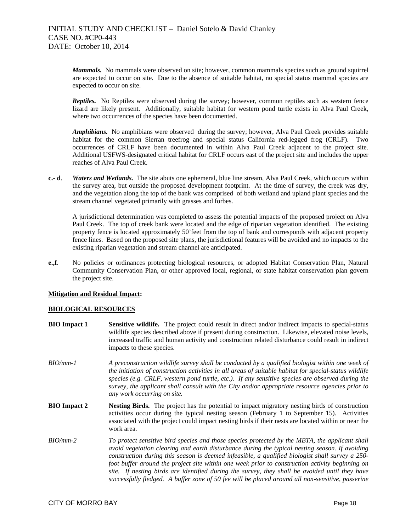*Mammals.* No mammals were observed on site; however, common mammals species such as ground squirrel are expected to occur on site. Due to the absence of suitable habitat, no special status mammal species are expected to occur on site.

*Reptiles.* No Reptiles were observed during the survey; however, common reptiles such as western fence lizard are likely present. Additionally, suitable habitat for western pond turtle exists in Alva Paul Creek, where two occurrences of the species have been documented.

*Amphibians.* No amphibians were observed during the survey; however, Alva Paul Creek provides suitable habitat for the common Sierran treefrog and special status California red-legged frog (CRLF). Two occurrences of CRLF have been documented in within Alva Paul Creek adjacent to the project site. Additional USFWS-designated critical habitat for CRLF occurs east of the project site and includes the upper reaches of Alva Paul Creek.

**c.- d**. *Waters and Wetlands.* The site abuts one ephemeral, blue line stream, Alva Paul Creek, which occurs within the survey area, but outside the proposed development footprint. At the time of survey, the creek was dry, and the vegetation along the top of the bank was comprised of both wetland and upland plant species and the stream channel vegetated primarily with grasses and forbes.

 A jurisdictional determination was completed to assess the potential impacts of the proposed project on Alva Paul Creek. The top of creek bank were located and the edge of riparian vegetation identified. The existing property fence is located approximately 50'feet from the top of bank and corresponds with adjacent property fence lines. Based on the proposed site plans, the jurisdictional features will be avoided and no impacts to the existing riparian vegetation and stream channel are anticipated.

**e.,f**. No policies or ordinances protecting biological resources, or adopted Habitat Conservation Plan, Natural Community Conservation Plan, or other approved local, regional, or state habitat conservation plan govern the project site.

## **Mitigation and Residual Impact:**

#### **BIOLOGICAL RESOURCES**

- **BIO Impact 1 Sensitive wildlife.** The project could result in direct and/or indirect impacts to special-status wildlife species described above if present during construction. Likewise, elevated noise levels, increased traffic and human activity and construction related disturbance could result in indirect impacts to these species.
- *BIO/mm-1 A preconstruction wildlife survey shall be conducted by a qualified biologist within one week of the initiation of construction activities in all areas of suitable habitat for special-status wildlife species (e.g. CRLF, western pond turtle, etc.). If any sensitive species are observed during the survey, the applicant shall consult with the City and/or appropriate resource agencies prior to any work occurring on site.*
- **BIO Impact 2 Nesting Birds.** The project has the potential to impact migratory nesting birds of construction activities occur during the typical nesting season (February 1 to September 15). Activities associated with the project could impact nesting birds if their nests are located within or near the work area.
- *BIO/mm-2 To protect sensitive bird species and those species protected by the MBTA, the applicant shall avoid vegetation clearing and earth disturbance during the typical nesting season. If avoiding construction during this season is deemed infeasible, a qualified biologist shall survey a 250 foot buffer around the project site within one week prior to construction activity beginning on site. If nesting birds are identified during the survey, they shall be avoided until they have successfully fledged. A buffer zone of 50 fee will be placed around all non-sensitive, passerine*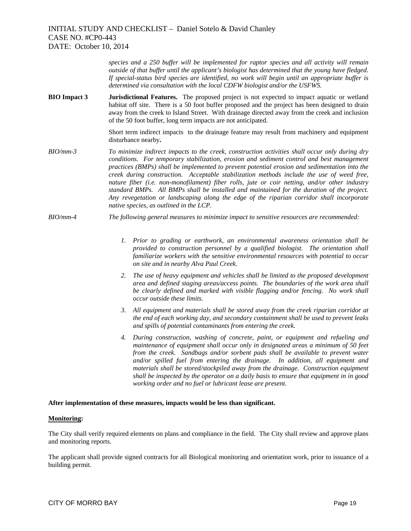*species and a 250 buffer will be implemented for raptor species and all activity will remain outside of that buffer until the applicant's biologist has determined that the young have fledged. If special-status bird species are identified, no work will begin until an appropriate buffer is determined via consultation with the local CDFW biologist and/or the USFWS.* 

**BIO Impact 3 Jurisdictional Features.** The proposed project is not expected to impact aquatic or wetland habitat off site. There is a 50 foot buffer proposed and the project has been designed to drain away from the creek to Island Street. With drainage directed away from the creek and inclusion of the 50 foot buffer, long term impacts are not anticipated.

> Short term indirect impacts to the drainage feature may result from machinery and equipment disturbance nearby**.**

- *BIO/mm-3 To minimize indirect impacts to the creek, construction activities shall occur only during dry conditions. For temporary stabilization, erosion and sediment control and best management practices (BMPs) shall be implemented to prevent potential erosion and sedimentation into the creek during construction. Acceptable stabilization methods include the use of weed free, nature fiber (i.e. non-monofilament) fiber rolls, jute or coir netting, and/or other industry standard BMPs. All BMPs shall be installed and maintained for the duration of the project. Any revegetation or landscaping along the edge of the riparian corridor shall incorporate native species, as outlined in the LCP.*
- *BIO/mm-4 The following general measures to minimize impact to sensitive resources are recommended:* 
	- *1. Prior to grading or earthwork, an environmental awareness orientation shall be provided to construction personnel by a qualified biologist. The orientation shall familiarize workers with the sensitive environmental resources with potential to occur on site and in nearby Alva Paul Creek.*
	- *2. The use of heavy equipment and vehicles shall be limited to the proposed development area and defined staging areas/access points. The boundaries of the work area shall be clearly defined and marked with visible flagging and/or fencing. No work shall occur outside these limits.*
	- *3. All equipment and materials shall be stored away from the creek riparian corridor at the end of each working day, and secondary containment shall be used to prevent leaks and spills of potential contaminants from entering the creek.*
	- *4. During construction, washing of concrete, paint, or equipment and refueling and maintenance of equipment shall occur only in designated areas a minimum of 50 feet from the creek. Sandbags and/or sorbent pads shall be available to prevent water and/or spilled fuel from entering the drainage. In addition, all equipment and materials shall be stored/stockpiled away from the drainage. Construction equipment shall be inspected by the operator on a daily basis to ensure that equipment in in good working order and no fuel or lubricant lease are present.*

#### **After implementation of these measures, impacts would be less than significant.**

#### **Monitoring:**

The City shall verify required elements on plans and compliance in the field. The City shall review and approve plans and monitoring reports.

The applicant shall provide signed contracts for all Biological monitoring and orientation work, prior to issuance of a building permit.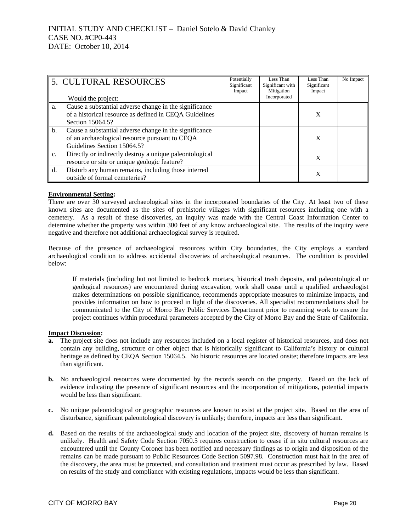|    | 5. CULTURAL RESOURCES                                                                                                                   | Potentially<br>Significant<br>Impact | Less Than<br>Significant with<br>Mitigation | Less Than<br>Significant<br>Impact | No Impact |
|----|-----------------------------------------------------------------------------------------------------------------------------------------|--------------------------------------|---------------------------------------------|------------------------------------|-----------|
|    | Would the project:                                                                                                                      |                                      | Incorporated                                |                                    |           |
| a. | Cause a substantial adverse change in the significance<br>of a historical resource as defined in CEQA Guidelines<br>Section 15064.5?    |                                      |                                             | X                                  |           |
| b. | Cause a substantial adverse change in the significance<br>of an archaeological resource pursuant to CEQA<br>Guidelines Section 15064.5? |                                      |                                             | X                                  |           |
| c. | Directly or indirectly destroy a unique paleontological<br>resource or site or unique geologic feature?                                 |                                      |                                             | X                                  |           |
| d. | Disturb any human remains, including those interred<br>outside of formal cemeteries?                                                    |                                      |                                             | X                                  |           |

### **Environmental Setting:**

There are over 30 surveyed archaeological sites in the incorporated boundaries of the City. At least two of these known sites are documented as the sites of prehistoric villages with significant resources including one with a cemetery. As a result of these discoveries, an inquiry was made with the Central Coast Information Center to determine whether the property was within 300 feet of any know archaeological site. The results of the inquiry were negative and therefore not additional archaeological survey is required.

Because of the presence of archaeological resources within City boundaries, the City employs a standard archaeological condition to address accidental discoveries of archaeological resources. The condition is provided below:

If materials (including but not limited to bedrock mortars, historical trash deposits, and paleontological or geological resources) are encountered during excavation, work shall cease until a qualified archaeologist makes determinations on possible significance, recommends appropriate measures to minimize impacts, and provides information on how to proceed in light of the discoveries. All specialist recommendations shall be communicated to the City of Morro Bay Public Services Department prior to resuming work to ensure the project continues within procedural parameters accepted by the City of Morro Bay and the State of California.

#### **Impact Discussion:**

- **a.** The project site does not include any resources included on a local register of historical resources, and does not contain any building, structure or other object that is historically significant to California's history or cultural heritage as defined by CEQA Section 15064.5. No historic resources are located onsite; therefore impacts are less than significant.
- **b.** No archaeological resources were documented by the records search on the property. Based on the lack of evidence indicating the presence of significant resources and the incorporation of mitigations, potential impacts would be less than significant.
- **c.** No unique paleontological or geographic resources are known to exist at the project site. Based on the area of disturbance, significant paleontological discovery is unlikely; therefore, impacts are less than significant.
- **d.** Based on the results of the archaeological study and location of the project site, discovery of human remains is unlikely. Health and Safety Code Section 7050.5 requires construction to cease if in situ cultural resources are encountered until the County Coroner has been notified and necessary findings as to origin and disposition of the remains can be made pursuant to Public Resources Code Section 5097.98. Construction must halt in the area of the discovery, the area must be protected, and consultation and treatment must occur as prescribed by law. Based on results of the study and compliance with existing regulations, impacts would be less than significant.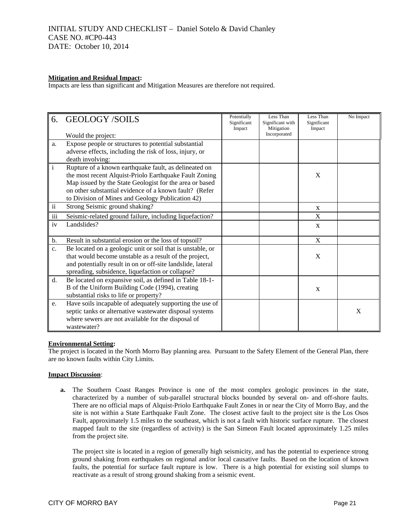#### **Mitigation and Residual Impact:**

Impacts are less than significant and Mitigation Measures are therefore not required.

| 6.            | <b>GEOLOGY/SOILS</b><br>Would the project:                                                                                                                                                                                                                                               | Potentially<br>Significant<br>Impact | Less Than<br>Significant with<br>Mitigation<br>Incorporated | Less Than<br>Significant<br>Impact | No Impact |
|---------------|------------------------------------------------------------------------------------------------------------------------------------------------------------------------------------------------------------------------------------------------------------------------------------------|--------------------------------------|-------------------------------------------------------------|------------------------------------|-----------|
| a.            | Expose people or structures to potential substantial<br>adverse effects, including the risk of loss, injury, or<br>death involving:                                                                                                                                                      |                                      |                                                             |                                    |           |
| $\rm i$       | Rupture of a known earthquake fault, as delineated on<br>the most recent Alquist-Priolo Earthquake Fault Zoning<br>Map issued by the State Geologist for the area or based<br>on other substantial evidence of a known fault? (Refer<br>to Division of Mines and Geology Publication 42) |                                      |                                                             | X                                  |           |
| $\mathbf{ii}$ | Strong Seismic ground shaking?                                                                                                                                                                                                                                                           |                                      |                                                             | $\mathbf{x}$                       |           |
| iii           | Seismic-related ground failure, including liquefaction?                                                                                                                                                                                                                                  |                                      |                                                             | $\boldsymbol{\mathrm{X}}$          |           |
| iv            | Landslides?                                                                                                                                                                                                                                                                              |                                      |                                                             | $\mathbf{X}$                       |           |
| b.            | Result in substantial erosion or the loss of topsoil?                                                                                                                                                                                                                                    |                                      |                                                             | $\mathbf X$                        |           |
| c.            | Be located on a geologic unit or soil that is unstable, or<br>that would become unstable as a result of the project,<br>and potentially result in on or off-site landslide, lateral<br>spreading, subsidence, liquefaction or collapse?                                                  |                                      |                                                             | X                                  |           |
| d.            | Be located on expansive soil, as defined in Table 18-1-<br>B of the Uniform Building Code (1994), creating<br>substantial risks to life or property?                                                                                                                                     |                                      |                                                             | $\mathbf{X}$                       |           |
| e.            | Have soils incapable of adequately supporting the use of<br>septic tanks or alternative wastewater disposal systems<br>where sewers are not available for the disposal of<br>wastewater?                                                                                                 |                                      |                                                             |                                    | X         |

#### **Environmental Setting:**

The project is located in the North Morro Bay planning area. Pursuant to the Safety Element of the General Plan, there are no known faults within City Limits.

#### **Impact Discussion**:

**a.** The Southern Coast Ranges Province is one of the most complex geologic provinces in the state, characterized by a number of sub-parallel structural blocks bounded by several on- and off-shore faults. There are no official maps of Alquist-Priolo Earthquake Fault Zones in or near the City of Morro Bay, and the site is not within a State Earthquake Fault Zone. The closest active fault to the project site is the Los Osos Fault, approximately 1.5 miles to the southeast, which is not a fault with historic surface rupture. The closest mapped fault to the site (regardless of activity) is the San Simeon Fault located approximately 1.25 miles from the project site.

The project site is located in a region of generally high seismicity, and has the potential to experience strong ground shaking from earthquakes on regional and/or local causative faults. Based on the location of known faults, the potential for surface fault rupture is low. There is a high potential for existing soil slumps to reactivate as a result of strong ground shaking from a seismic event.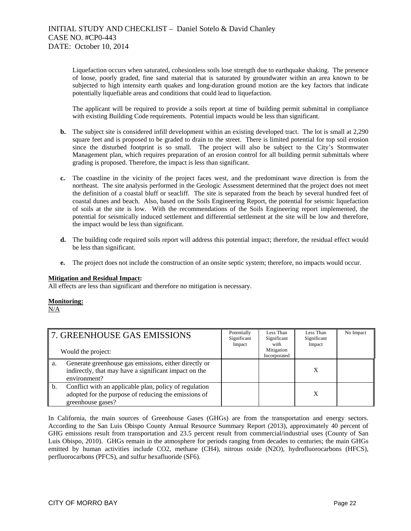Liquefaction occurs when saturated, cohesionless soils lose strength due to earthquake shaking. The presence of loose, poorly graded, fine sand material that is saturated by groundwater within an area known to be subjected to high intensity earth quakes and long-duration ground motion are the key factors that indicate potentially liquefiable areas and conditions that could lead to liquefaction.

The applicant will be required to provide a soils report at time of building permit submittal in compliance with existing Building Code requirements. Potential impacts would be less than significant.

- **b.** The subject site is considered infill development within an existing developed tract. The lot is small at 2,290 square feet and is proposed to be graded to drain to the street. There is limited potential for top soil erosion since the disturbed footprint is so small. The project will also be subject to the City's Stormwater Management plan, which requires preparation of an erosion control for all building permit submittals where grading is proposed. Therefore, the impact is less than significant.
- **c.** The coastline in the vicinity of the project faces west, and the predominant wave direction is from the northeast. The site analysis performed in the Geologic Assessment determined that the project does not meet the definition of a coastal bluff or seacliff. The site is separated from the beach by several hundred feet of coastal dunes and beach. Also, based on the Soils Engineering Report, the potential for seismic liquefaction of soils at the site is low. With the recommendations of the Soils Engineering report implemented, the potential for seismically induced settlement and differential settlement at the site will be low and therefore, the impact would be less than significant.
- **d.** The building code required soils report will address this potential impact; therefore, the residual effect would be less than significant.
- **e.** The project does not include the construction of an onsite septic system; therefore, no impacts would occur.

## **Mitigation and Residual Impact:**

All effects are less than significant and therefore no mitigation is necessary.

## **Monitoring:**

N/A

|    | 7. GREENHOUSE GAS EMISSIONS                                                                                                         | Potentially<br>Significant<br>Impact | Less Than<br>Significant<br>with | Less Than<br>Significant<br>Impact | No Impact |
|----|-------------------------------------------------------------------------------------------------------------------------------------|--------------------------------------|----------------------------------|------------------------------------|-----------|
|    | Would the project:                                                                                                                  |                                      | Mitigation<br>Incorporated       |                                    |           |
| a. | Generate greenhouse gas emissions, either directly or<br>indirectly, that may have a significant impact on the<br>environment?      |                                      |                                  |                                    |           |
| b. | Conflict with an applicable plan, policy of regulation<br>adopted for the purpose of reducing the emissions of<br>greenhouse gases? |                                      |                                  | X                                  |           |

In California, the main sources of Greenhouse Gases (GHGs) are from the transportation and energy sectors. According to the San Luis Obispo County Annual Resource Summary Report (2013), approximately 40 percent of GHG emissions result from transportation and 23.5 percent result from commercial/industrial uses (County of San Luis Obispo, 2010). GHGs remain in the atmosphere for periods ranging from decades to centuries; the main GHGs emitted by human activities include CO2, methane (CH4), nitrous oxide (N2O), hydrofluorocarbons (HFCS), perfluorocarbons (PFCS), and sulfur hexafluoride (SF6).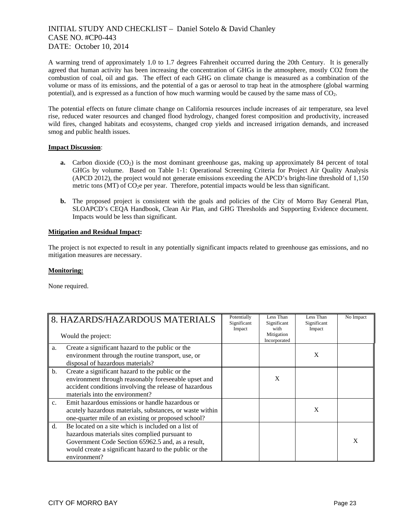A warming trend of approximately 1.0 to 1.7 degrees Fahrenheit occurred during the 20th Century. It is generally agreed that human activity has been increasing the concentration of GHGs in the atmosphere, mostly CO2 from the combustion of coal, oil and gas. The effect of each GHG on climate change is measured as a combination of the volume or mass of its emissions, and the potential of a gas or aerosol to trap heat in the atmosphere (global warming potential), and is expressed as a function of how much warming would be caused by the same mass of CO2.

The potential effects on future climate change on California resources include increases of air temperature, sea level rise, reduced water resources and changed flood hydrology, changed forest composition and productivity, increased wild fires, changed habitats and ecosystems, changed crop yields and increased irrigation demands, and increased smog and public health issues.

### **Impact Discussion**:

- **a.** Carbon dioxide (CO<sub>2</sub>) is the most dominant greenhouse gas, making up approximately 84 percent of total GHGs by volume. Based on Table 1-1: Operational Screening Criteria for Project Air Quality Analysis (APCD 2012), the project would not generate emissions exceeding the APCD's bright-line threshold of 1,150 metric tons (MT) of  $CO<sub>2</sub>e$  per year. Therefore, potential impacts would be less than significant.
- **b.** The proposed project is consistent with the goals and policies of the City of Morro Bay General Plan, SLOAPCD's CEQA Handbook, Clean Air Plan, and GHG Thresholds and Supporting Evidence document. Impacts would be less than significant.

### **Mitigation and Residual Impact:**

The project is not expected to result in any potentially significant impacts related to greenhouse gas emissions, and no mitigation measures are necessary.

## **Monitoring:**

None required.

|               | 8. HAZARDS/HAZARDOUS MATERIALS<br>Would the project:                                                                                                                                                                                 | Potentially<br>Significant<br>Impact | Less Than<br>Significant<br>with<br>Mitigation | Less Than<br>Significant<br>Impact | No Impact |
|---------------|--------------------------------------------------------------------------------------------------------------------------------------------------------------------------------------------------------------------------------------|--------------------------------------|------------------------------------------------|------------------------------------|-----------|
|               |                                                                                                                                                                                                                                      |                                      | Incorporated                                   |                                    |           |
| a.            | Create a significant hazard to the public or the<br>environment through the routine transport, use, or<br>disposal of hazardous materials?                                                                                           |                                      |                                                | X                                  |           |
| b.            | Create a significant hazard to the public or the<br>environment through reasonably foreseeable upset and<br>accident conditions involving the release of hazardous<br>materials into the environment?                                |                                      | X                                              |                                    |           |
| $C_{\bullet}$ | Emit hazardous emissions or handle hazardous or<br>acutely hazardous materials, substances, or waste within<br>one-quarter mile of an existing or proposed school?                                                                   |                                      |                                                | X                                  |           |
| $d_{\cdot}$   | Be located on a site which is included on a list of<br>hazardous materials sites complied pursuant to<br>Government Code Section 65962.5 and, as a result,<br>would create a significant hazard to the public or the<br>environment? |                                      |                                                |                                    | X         |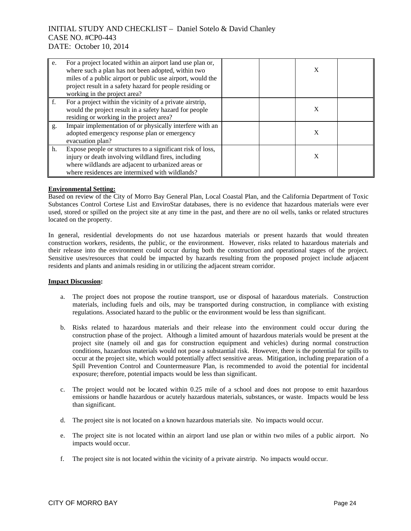| $^{\prime}$ e. | For a project located within an airport land use plan or,<br>where such a plan has not been adopted, within two<br>miles of a public airport or public use airport, would the<br>project result in a safety hazard for people residing or<br>working in the project area? | X |  |
|----------------|---------------------------------------------------------------------------------------------------------------------------------------------------------------------------------------------------------------------------------------------------------------------------|---|--|
| f.             | For a project within the vicinity of a private airstrip,<br>would the project result in a safety hazard for people<br>residing or working in the project area?                                                                                                            | X |  |
| g.             | Impair implementation of or physically interfere with an<br>adopted emergency response plan or emergency<br>evacuation plan?                                                                                                                                              | X |  |
| h.             | Expose people or structures to a significant risk of loss,<br>injury or death involving wildland fires, including<br>where wildlands are adjacent to urbanized areas or<br>where residences are intermixed with wildlands?                                                | X |  |

### **Environmental Setting:**

Based on review of the City of Morro Bay General Plan, Local Coastal Plan, and the California Department of Toxic Substances Control Cortese List and EnviroStar databases, there is no evidence that hazardous materials were ever used, stored or spilled on the project site at any time in the past, and there are no oil wells, tanks or related structures located on the property.

In general, residential developments do not use hazardous materials or present hazards that would threaten construction workers, residents, the public, or the environment. However, risks related to hazardous materials and their release into the environment could occur during both the construction and operational stages of the project. Sensitive uses/resources that could be impacted by hazards resulting from the proposed project include adjacent residents and plants and animals residing in or utilizing the adjacent stream corridor.

## **Impact Discussion:**

- a. The project does not propose the routine transport, use or disposal of hazardous materials. Construction materials, including fuels and oils, may be transported during construction, in compliance with existing regulations. Associated hazard to the public or the environment would be less than significant.
- b. Risks related to hazardous materials and their release into the environment could occur during the construction phase of the project. Although a limited amount of hazardous materials would be present at the project site (namely oil and gas for construction equipment and vehicles) during normal construction conditions, hazardous materials would not pose a substantial risk. However, there is the potential for spills to occur at the project site, which would potentially affect sensitive areas. Mitigation, including preparation of a Spill Prevention Control and Countermeasure Plan, is recommended to avoid the potential for incidental exposure; therefore, potential impacts would be less than significant.
- c. The project would not be located within 0.25 mile of a school and does not propose to emit hazardous emissions or handle hazardous or acutely hazardous materials, substances, or waste. Impacts would be less than significant.
- d. The project site is not located on a known hazardous materials site. No impacts would occur.
- e. The project site is not located within an airport land use plan or within two miles of a public airport. No impacts would occur.
- f. The project site is not located within the vicinity of a private airstrip. No impacts would occur.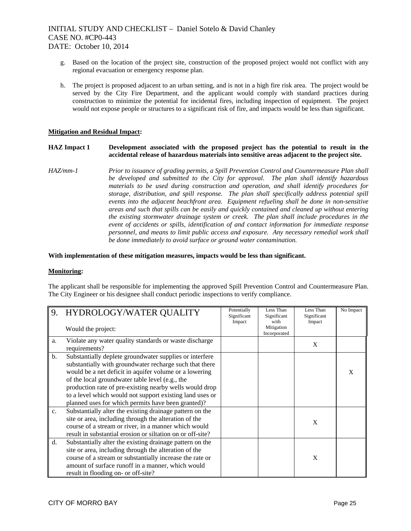- g. Based on the location of the project site, construction of the proposed project would not conflict with any regional evacuation or emergency response plan.
- h. The project is proposed adjacent to an urban setting, and is not in a high fire risk area. The project would be served by the City Fire Department, and the applicant would comply with standard practices during construction to minimize the potential for incidental fires, including inspection of equipment. The project would not expose people or structures to a significant risk of fire, and impacts would be less than significant.

#### **Mitigation and Residual Impact:**

### **HAZ Impact 1 Development associated with the proposed project has the potential to result in the accidental release of hazardous materials into sensitive areas adjacent to the project site.**

*HAZ/mm-1 Prior to issuance of grading permits, a Spill Prevention Control and Countermeasure Plan shall be developed and submitted to the City for approval. The plan shall identify hazardous materials to be used during construction and operation, and shall identify procedures for storage, distribution, and spill response. The plan shall specifically address potential spill events into the adjacent beachfront area. Equipment refueling shall be done in non-sensitive areas and such that spills can be easily and quickly contained and cleaned up without entering the existing stormwater drainage system or creek. The plan shall include procedures in the event of accidents or spills, identification of and contact information for immediate response personnel, and means to limit public access and exposure. Any necessary remedial work shall be done immediately to avoid surface or ground water contamination.* 

#### **With implementation of these mitigation measures, impacts would be less than significant.**

#### **Monitoring:**

The applicant shall be responsible for implementing the approved Spill Prevention Control and Countermeasure Plan. The City Engineer or his designee shall conduct periodic inspections to verify compliance.

| 9.             | HYDROLOGY/WATER QUALITY                                                                                                                                                                                                                                                                                                                                                                                      | Potentially<br>Significant | Less Than<br>Significant           | Less Than<br>Significant | No Impact    |
|----------------|--------------------------------------------------------------------------------------------------------------------------------------------------------------------------------------------------------------------------------------------------------------------------------------------------------------------------------------------------------------------------------------------------------------|----------------------------|------------------------------------|--------------------------|--------------|
|                | Would the project:                                                                                                                                                                                                                                                                                                                                                                                           | Impact                     | with<br>Mitigation<br>Incorporated | Impact                   |              |
| a.             | Violate any water quality standards or waste discharge<br>requirements?                                                                                                                                                                                                                                                                                                                                      |                            |                                    | X                        |              |
| $\mathbf{b}$ . | Substantially deplete groundwater supplies or interfere<br>substantially with groundwater recharge such that there<br>would be a net deficit in aquifer volume or a lowering<br>of the local groundwater table level (e.g., the<br>production rate of pre-existing nearby wells would drop<br>to a level which would not support existing land uses or<br>planned uses for which permits have been granted)? |                            |                                    |                          | $\mathbf{x}$ |
| $\mathbf{c}$ . | Substantially alter the existing drainage pattern on the<br>site or area, including through the alteration of the<br>course of a stream or river, in a manner which would<br>result in substantial erosion or siltation on or off-site?                                                                                                                                                                      |                            |                                    | X                        |              |
| d.             | Substantially alter the existing drainage pattern on the<br>site or area, including through the alteration of the<br>course of a stream or substantially increase the rate or<br>amount of surface runoff in a manner, which would<br>result in flooding on- or off-site?                                                                                                                                    |                            |                                    | X                        |              |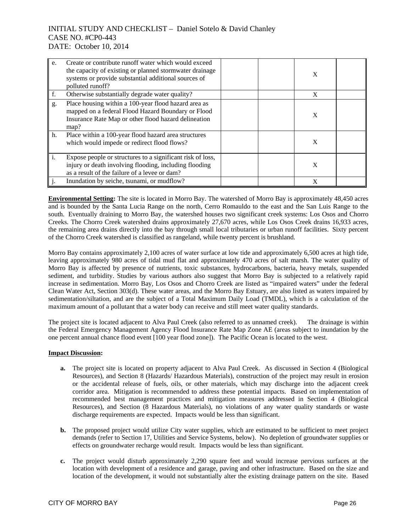| e.               | Create or contribute runoff water which would exceed<br>the capacity of existing or planned stormwater drainage<br>systems or provide substantial additional sources of<br>polluted runoff? | X |  |
|------------------|---------------------------------------------------------------------------------------------------------------------------------------------------------------------------------------------|---|--|
| f.               | Otherwise substantially degrade water quality?                                                                                                                                              | X |  |
| g.               | Place housing within a 100-year flood hazard area as<br>mapped on a federal Flood Hazard Boundary or Flood<br>Insurance Rate Map or other flood hazard delineation<br>map?                  | X |  |
| h.               | Place within a 100-year flood hazard area structures<br>which would impede or redirect flood flows?                                                                                         | X |  |
| $\mathbf{I}_{i}$ | Expose people or structures to a significant risk of loss,<br>injury or death involving flooding, including flooding<br>as a result of the failure of a levee or dam?                       | X |  |
|                  | Inundation by seiche, tsunami, or mudflow?                                                                                                                                                  | X |  |

**Environmental Setting:** The site is located in Morro Bay. The watershed of Morro Bay is approximately 48,450 acres and is bounded by the Santa Lucia Range on the north, Cerro Romauldo to the east and the San Luis Range to the south. Eventually draining to Morro Bay, the watershed houses two significant creek systems: Los Osos and Chorro Creeks. The Chorro Creek watershed drains approximately 27,670 acres, while Los Osos Creek drains 16,933 acres, the remaining area drains directly into the bay through small local tributaries or urban runoff facilities. Sixty percent of the Chorro Creek watershed is classified as rangeland, while twenty percent is brushland.

Morro Bay contains approximately 2,100 acres of water surface at low tide and approximately 6,500 acres at high tide, leaving approximately 980 acres of tidal mud flat and approximately 470 acres of salt marsh. The water quality of Morro Bay is affected by presence of nutrients, toxic substances, hydrocarbons, bacteria, heavy metals, suspended sediment, and turbidity. Studies by various authors also suggest that Morro Bay is subjected to a relatively rapid increase in sedimentation. Morro Bay, Los Osos and Chorro Creek are listed as "impaired waters" under the federal Clean Water Act, Section 303(d). These water areas, and the Morro Bay Estuary, are also listed as waters impaired by sedimentation/siltation, and are the subject of a Total Maximum Daily Load (TMDL), which is a calculation of the maximum amount of a pollutant that a water body can receive and still meet water quality standards.

The project site is located adjacent to Alva Paul Creek (also referred to as unnamed creek). The drainage is within the Federal Emergency Management Agency Flood Insurance Rate Map Zone AE (areas subject to inundation by the one percent annual chance flood event [100 year flood zone]). The Pacific Ocean is located to the west.

## **Impact Discussion:**

- **a.** The project site is located on property adjacent to Alva Paul Creek. As discussed in Section 4 (Biological Resources), and Section 8 (Hazards/ Hazardous Materials), construction of the project may result in erosion or the accidental release of fuels, oils, or other materials, which may discharge into the adjacent creek corridor area. Mitigation is recommended to address these potential impacts. Based on implementation of recommended best management practices and mitigation measures addressed in Section 4 (Biological Resources), and Section (8 Hazardous Materials), no violations of any water quality standards or waste discharge requirements are expected. Impacts would be less than significant.
- **b.** The proposed project would utilize City water supplies, which are estimated to be sufficient to meet project demands (refer to Section 17, Utilities and Service Systems, below). No depletion of groundwater supplies or effects on groundwater recharge would result. Impacts would be less than significant.
- **c.** The project would disturb approximately 2,290 square feet and would increase pervious surfaces at the location with development of a residence and garage, paving and other infrastructure. Based on the size and location of the development, it would not substantially alter the existing drainage pattern on the site. Based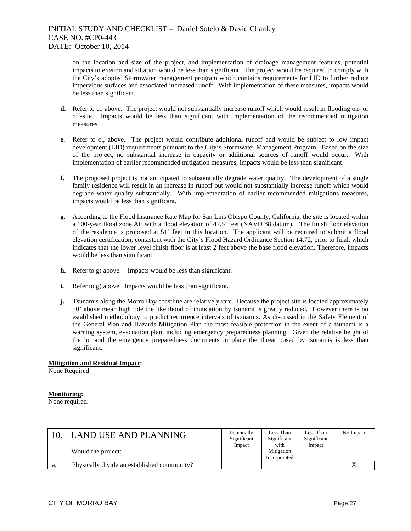on the location and size of the project, and implementation of drainage management features, potential impacts to erosion and siltation would be less than significant. The project would be required to comply with the City's adopted Stormwater management program which contains requirements for LID to further reduce impervious surfaces and associated increased runoff. With implementation of these measures, impacts would be less than significant.

- **d.** Refer to c., above. The project would not substantially increase runoff which would result in flooding on- or off-site. Impacts would be less than significant with implementation of the recommended mitigation measures.
- **e.** Refer to c., above. The project would contribute additional runoff and would be subject to low impact development (LID) requirements pursuant to the City's Stormwater Management Program. Based on the size of the project, no substantial increase in capacity or additional sources of runoff would occur. With implementation of earlier recommended mitigation measures, impacts would be less than significant.
- **f.** The proposed project is not anticipated to substantially degrade water quality. The development of a single family residence will result in an increase in runoff but would not substantially increase runoff which would degrade water quality substantially. With implementation of earlier recommended mitigations measures, impacts would be less than significant.
- **g.** According to the Flood Insurance Rate Map for San Luis Obispo County, California, the site is located within a 100-year flood zone AE with a flood elevation of 47.5' feet (NAVD 88 datum). The finish floor elevation of the residence is proposed at 51' feet in this location. The applicant will be required to submit a flood elevation certification, consistent with the City's Flood Hazard Ordinance Section 14.72, prior to final, which indicates that the lower level finish floor is at least 2 feet above the base flood elevation. Therefore, impacts would be less than significant.
- **h.** Refer to g) above. Impacts would be less than significant.
- **i.** Refer to g) above. Impacts would be less than significant.
- **j.** Tsunamis along the Morro Bay coastline are relatively rare. Because the project site is located approximately 50' above mean high tide the likelihood of inundation by tsunami is greatly reduced. However there is no established methodology to predict recurrence intervals of tsunamis. As discussed in the Safety Element of the General Plan and Hazards Mitigation Plan the most feasible protection in the event of a tsunami is a warning system, evacuation plan, including emergency preparedness planning. Given the relative height of the lot and the emergency preparedness documents in place the threat posed by tsunamis is less than significant.

## **Mitigation and Residual Impact:**

None Required

#### **Monitoring:**

None required.

|    | <b>LAND USE AND PLANNING</b><br>Would the project: | Potentially<br>Significant<br>Impact | Less Than<br>Significant<br>with<br>Mitigation<br>Incorporated | Less Than<br>Significant<br>Impact | No Impact |
|----|----------------------------------------------------|--------------------------------------|----------------------------------------------------------------|------------------------------------|-----------|
| a. | Physically divide an established community?        |                                      |                                                                |                                    |           |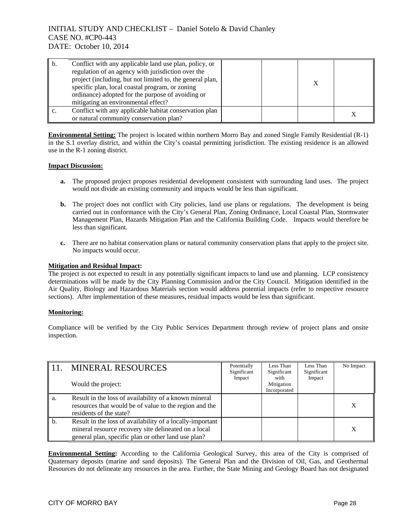| b. | Conflict with any applicable land use plan, policy, or<br>regulation of an agency with jurisdiction over the<br>project (including, but not limited to, the general plan,<br>specific plan, local coastal program, or zoning<br>ordinance) adopted for the purpose of avoiding or<br>mitigating an environmental effect? |  |  |
|----|--------------------------------------------------------------------------------------------------------------------------------------------------------------------------------------------------------------------------------------------------------------------------------------------------------------------------|--|--|
|    | Conflict with any applicable habitat conservation plan<br>or natural community conservation plan?                                                                                                                                                                                                                        |  |  |

**Environmental Setting:** The project is located within northern Morro Bay and zoned Single Family Residential (R-1) in the S.1 overlay district, and within the City's coastal permitting jurisdiction. The existing residence is an allowed use in the R-1 zoning district.

### **Impact Discussion:**

- **a.** The proposed project proposes residential development consistent with surrounding land uses. The project would not divide an existing community and impacts would be less than significant.
- **b.** The project does not conflict with City policies, land use plans or regulations. The development is being carried out in conformance with the City's General Plan, Zoning Ordinance, Local Coastal Plan, Stormwater Management Plan, Hazards Mitigation Plan and the California Building Code. Impacts would therefore be less than significant.
- **c.** There are no habitat conservation plans or natural community conservation plans that apply to the project site. No impacts would occur.

#### **Mitigation and Residual Impact:**

The project is not expected to result in any potentially significant impacts to land use and planning. LCP consistency determinations will be made by the City Planning Commission and/or the City Council. Mitigation identified in the Air Quality, Biology and Hazardous Materials section would address potential impacts (refer to respective resource sections). After implementation of these measures, residual impacts would be less than significant.

## **Monitoring:**

Compliance will be verified by the City Public Services Department through review of project plans and onsite inspection.

|    | <b>MINERAL RESOURCES</b>                                                                                                                                                 | Potentially<br>Significant | Less Than<br>Significant           | Less Than<br>Significant | No Impact |
|----|--------------------------------------------------------------------------------------------------------------------------------------------------------------------------|----------------------------|------------------------------------|--------------------------|-----------|
|    | Would the project:                                                                                                                                                       | Impact                     | with<br>Mitigation<br>Incorporated | Impact                   |           |
| а. | Result in the loss of availability of a known mineral<br>resources that would be of value to the region and the<br>residents of the state?                               |                            |                                    |                          | X         |
| b. | Result in the loss of availability of a locally-important<br>mineral resource recovery site delineated on a local<br>general plan, specific plan or other land use plan? |                            |                                    |                          | X         |

**Environmental Setting:** According to the California Geological Survey, this area of the City is comprised of Quaternary deposits (marine and sand deposits). The General Plan and the Division of Oil, Gas, and Geothermal Resources do not delineate any resources in the area. Further, the State Mining and Geology Board has not designated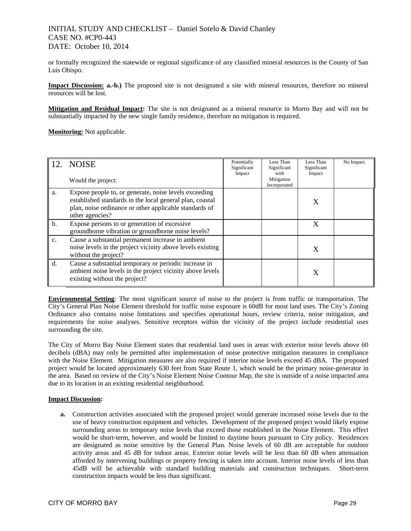or formally recognized the statewide or regional significance of any classified mineral resources in the County of San Luis Obispo.

**Impact Discussion: a.-b.)** The proposed site is not designated a site with mineral resources, therefore no mineral resources will be lost.

**Mitigation and Residual Impact:** The site is not designated as a mineral resource in Morro Bay and will not be substantially impacted by the new single family residence, therefore no mitigation is required.

**Monitoring:** Not applicable.

|               | 12. NOISE<br>Would the project:                                                                                                                                                                | Potentially<br>Significant<br>Impact | Less Than<br>Significant<br>with<br>Mitigation<br>Incorporated | Less Than<br>Significant<br>Impact | No Impact |
|---------------|------------------------------------------------------------------------------------------------------------------------------------------------------------------------------------------------|--------------------------------------|----------------------------------------------------------------|------------------------------------|-----------|
| a.            | Expose people to, or generate, noise levels exceeding<br>established standards in the local general plan, coastal<br>plan, noise ordinance or other applicable standards of<br>other agencies? |                                      |                                                                | X                                  |           |
| b.            | Expose persons to or generation of excessive<br>groundborne vibration or groundborne noise levels?                                                                                             |                                      |                                                                | X                                  |           |
| $C_{\bullet}$ | Cause a substantial permanent increase in ambient<br>noise levels in the project vicinity above levels existing<br>without the project?                                                        |                                      |                                                                | X                                  |           |
| d.            | Cause a substantial temporary or periodic increase in<br>ambient noise levels in the project vicinity above levels<br>existing without the project?                                            |                                      |                                                                |                                    |           |

**Environmental Setting**: The most significant source of noise to the project is from traffic or transportation. The City's General Plan Noise Element threshold for traffic noise exposure is 60dB for most land uses. The City's Zoning Ordinance also contains noise limitations and specifies operational hours, review criteria, noise mitigation, and requirements for noise analyses. Sensitive receptors within the vicinity of the project include residential uses surrounding the site.

The City of Morro Bay Noise Element states that residential land uses in areas with exterior noise levels above 60 decibels (dBA) may only be permitted after implementation of noise protective mitigation measures in compliance with the Noise Element. Mitigation measures are also required if interior noise levels exceed 45 dBA. The proposed project would be located approximately 630 feet from State Route 1, which would be the primary noise-generator in the area. Based on review of the City's Noise Element Noise Contour Map, the site is outside of a noise impacted area due to its location in an existing residential neighborhood.

#### **Impact Discussion:**

**a.** Construction activities associated with the proposed project would generate increased noise levels due to the use of heavy construction equipment and vehicles. Development of the proposed project would likely expose surrounding areas to temporary noise levels that exceed those established in the Noise Element. This effect would be short-term, however, and would be limited to daytime hours pursuant to City policy. Residences are designated as noise sensitive by the General Plan. Noise levels of 60 dB are acceptable for outdoor activity areas and 45 dB for indoor areas. Exterior noise levels will be less than 60 dB when attenuation afforded by intervening buildings or property fencing is taken into account. Interior noise levels of less than 45dB will be achievable with standard building materials and construction techniques. Short-term construction impacts would be less than significant.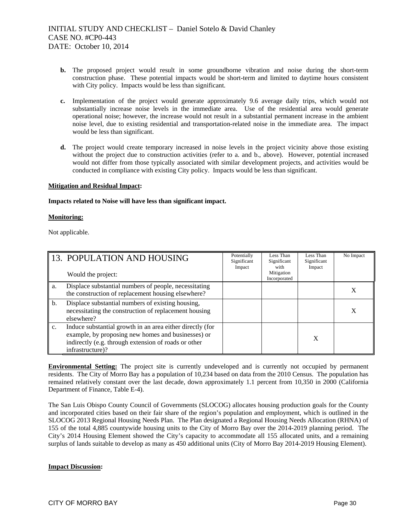- **b.** The proposed project would result in some groundborne vibration and noise during the short-term construction phase. These potential impacts would be short-term and limited to daytime hours consistent with City policy. Impacts would be less than significant.
- **c.** Implementation of the project would generate approximately 9.6 average daily trips, which would not substantially increase noise levels in the immediate area. Use of the residential area would generate operational noise; however, the increase would not result in a substantial permanent increase in the ambient noise level, due to existing residential and transportation-related noise in the immediate area. The impact would be less than significant.
- **d.** The project would create temporary increased in noise levels in the project vicinity above those existing without the project due to construction activities (refer to a. and b., above). However, potential increased would not differ from those typically associated with similar development projects, and activities would be conducted in compliance with existing City policy. Impacts would be less than significant.

#### **Mitigation and Residual Impact:**

### **Impacts related to Noise will have less than significant impact.**

### **Monitoring:**

Not applicable.

|    | 13. POPULATION AND HOUSING<br>Would the project:                                                                                                                                            | Potentially<br>Significant<br>Impact | Less Than<br>Significant<br>with<br>Mitigation<br>Incorporated | Less Than<br>Significant<br>Impact | No Impact |
|----|---------------------------------------------------------------------------------------------------------------------------------------------------------------------------------------------|--------------------------------------|----------------------------------------------------------------|------------------------------------|-----------|
| a. | Displace substantial numbers of people, necessitating<br>the construction of replacement housing elsewhere?                                                                                 |                                      |                                                                |                                    | Χ         |
| b. | Displace substantial numbers of existing housing,<br>necessitating the construction of replacement housing<br>elsewhere?                                                                    |                                      |                                                                |                                    | X         |
| c. | Induce substantial growth in an area either directly (for<br>example, by proposing new homes and businesses) or<br>indirectly (e.g. through extension of roads or other<br>infrastructure)? |                                      |                                                                | X                                  |           |

**Environmental Setting:** The project site is currently undeveloped and is currently not occupied by permanent residents. The City of Morro Bay has a population of 10,234 based on data from the 2010 Census. The population has remained relatively constant over the last decade, down approximately 1.1 percent from 10,350 in 2000 (California Department of Finance, Table E-4).

The San Luis Obispo County Council of Governments (SLOCOG) allocates housing production goals for the County and incorporated cities based on their fair share of the region's population and employment, which is outlined in the SLOCOG 2013 Regional Housing Needs Plan. The Plan designated a Regional Housing Needs Allocation (RHNA) of 155 of the total 4,885 countywide housing units to the City of Morro Bay over the 2014-2019 planning period. The City's 2014 Housing Element showed the City's capacity to accommodate all 155 allocated units, and a remaining surplus of lands suitable to develop as many as 450 additional units (City of Morro Bay 2014-2019 Housing Element).

### **Impact Discussion:**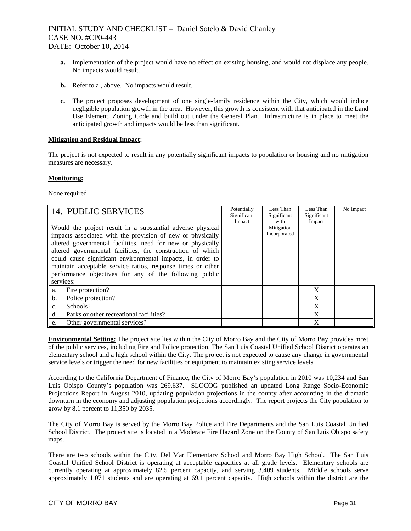- **a.** Implementation of the project would have no effect on existing housing, and would not displace any people. No impacts would result.
- **b.** Refer to a., above. No impacts would result.
- **c.** The project proposes development of one single-family residence within the City, which would induce negligible population growth in the area. However, this growth is consistent with that anticipated in the Land Use Element, Zoning Code and build out under the General Plan. Infrastructure is in place to meet the anticipated growth and impacts would be less than significant.

### **Mitigation and Residual Impact:**

The project is not expected to result in any potentially significant impacts to population or housing and no mitigation measures are necessary.

### **Monitoring:**

None required.

| 14. PUBLIC SERVICES                                                                                                                                                                                                                                                                                                                                                                                                                                       | Potentially<br>Significant<br>Impact | Less Than<br>Significant<br>with | Less Than<br>Significant<br>Impact | No Impact |
|-----------------------------------------------------------------------------------------------------------------------------------------------------------------------------------------------------------------------------------------------------------------------------------------------------------------------------------------------------------------------------------------------------------------------------------------------------------|--------------------------------------|----------------------------------|------------------------------------|-----------|
| Would the project result in a substantial adverse physical<br>impacts associated with the provision of new or physically<br>altered governmental facilities, need for new or physically<br>altered governmental facilities, the construction of which<br>could cause significant environmental impacts, in order to<br>maintain acceptable service ratios, response times or other<br>performance objectives for any of the following public<br>services: |                                      | Mitigation<br>Incorporated       |                                    |           |
| Fire protection?<br>a.                                                                                                                                                                                                                                                                                                                                                                                                                                    |                                      |                                  | X                                  |           |
| b.<br>Police protection?                                                                                                                                                                                                                                                                                                                                                                                                                                  |                                      |                                  | X                                  |           |
| Schools?<br>$\mathbf{c}$ .                                                                                                                                                                                                                                                                                                                                                                                                                                |                                      |                                  | X                                  |           |
| d.<br>Parks or other recreational facilities?                                                                                                                                                                                                                                                                                                                                                                                                             |                                      |                                  | X                                  |           |
| Other governmental services?<br>e.                                                                                                                                                                                                                                                                                                                                                                                                                        |                                      |                                  | X                                  |           |

**Environmental Setting:** The project site lies within the City of Morro Bay and the City of Morro Bay provides most of the public services, including Fire and Police protection. The San Luis Coastal Unified School District operates an elementary school and a high school within the City. The project is not expected to cause any change in governmental service levels or trigger the need for new facilities or equipment to maintain existing service levels.

According to the California Department of Finance, the City of Morro Bay's population in 2010 was 10,234 and San Luis Obispo County's population was 269,637. SLOCOG published an updated Long Range Socio-Economic Projections Report in August 2010, updating population projections in the county after accounting in the dramatic downturn in the economy and adjusting population projections accordingly. The report projects the City population to grow by 8.1 percent to 11,350 by 2035.

The City of Morro Bay is served by the Morro Bay Police and Fire Departments and the San Luis Coastal Unified School District. The project site is located in a Moderate Fire Hazard Zone on the County of San Luis Obispo safety maps.

There are two schools within the City, Del Mar Elementary School and Morro Bay High School. The San Luis Coastal Unified School District is operating at acceptable capacities at all grade levels. Elementary schools are currently operating at approximately 82.5 percent capacity, and serving 3,409 students. Middle schools serve approximately 1,071 students and are operating at 69.1 percent capacity. High schools within the district are the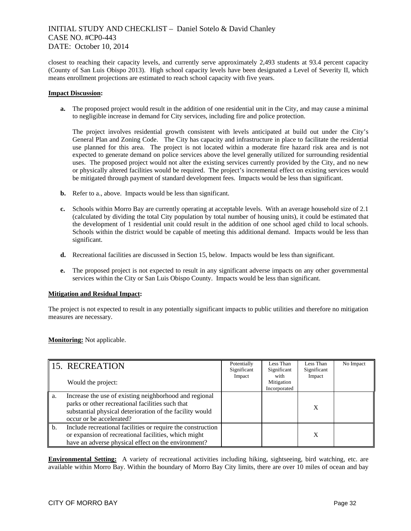closest to reaching their capacity levels, and currently serve approximately 2,493 students at 93.4 percent capacity (County of San Luis Obispo 2013). High school capacity levels have been designated a Level of Severity II, which means enrollment projections are estimated to reach school capacity with five years.

### **Impact Discussion:**

**a.** The proposed project would result in the addition of one residential unit in the City, and may cause a minimal to negligible increase in demand for City services, including fire and police protection.

The project involves residential growth consistent with levels anticipated at build out under the City's General Plan and Zoning Code. The City has capacity and infrastructure in place to facilitate the residential use planned for this area. The project is not located within a moderate fire hazard risk area and is not expected to generate demand on police services above the level generally utilized for surrounding residential uses. The proposed project would not alter the existing services currently provided by the City, and no new or physically altered facilities would be required. The project's incremental effect on existing services would be mitigated through payment of standard development fees. Impacts would be less than significant.

- **b.** Refer to a., above. Impacts would be less than significant.
- **c.** Schools within Morro Bay are currently operating at acceptable levels. With an average household size of 2.1 (calculated by dividing the total City population by total number of housing units), it could be estimated that the development of 1 residential unit could result in the addition of one school aged child to local schools. Schools within the district would be capable of meeting this additional demand. Impacts would be less than significant.
- **d.** Recreational facilities are discussed in Section 15, below. Impacts would be less than significant.
- **e.** The proposed project is not expected to result in any significant adverse impacts on any other governmental services within the City or San Luis Obispo County. Impacts would be less than significant.

#### **Mitigation and Residual Impact:**

The project is not expected to result in any potentially significant impacts to public utilities and therefore no mitigation measures are necessary.

## **Monitoring:** Not applicable.

|                | 15. RECREATION                                                                                                                                                                                     | Potentially<br>Significant | Less Than<br>Significant           | Less Than<br>Significant | No Impact |
|----------------|----------------------------------------------------------------------------------------------------------------------------------------------------------------------------------------------------|----------------------------|------------------------------------|--------------------------|-----------|
|                | Would the project:                                                                                                                                                                                 | Impact                     | with<br>Mitigation<br>Incorporated | Impact                   |           |
| a.             | Increase the use of existing neighborhood and regional<br>parks or other recreational facilities such that<br>substantial physical deterioration of the facility would<br>occur or be accelerated? |                            |                                    | X                        |           |
| $\mathbf{b}$ . | Include recreational facilities or require the construction<br>or expansion of recreational facilities, which might<br>have an adverse physical effect on the environment?                         |                            |                                    | X                        |           |

**Environmental Setting:** A variety of recreational activities including hiking, sightseeing, bird watching, etc. are available within Morro Bay. Within the boundary of Morro Bay City limits, there are over 10 miles of ocean and bay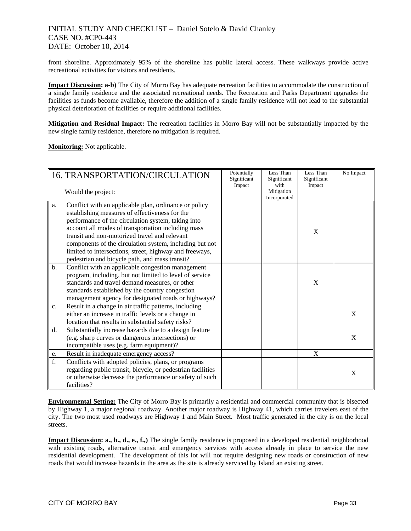front shoreline. Approximately 95% of the shoreline has public lateral access. These walkways provide active recreational activities for visitors and residents.

**Impact Discussion: a-b)** The City of Morro Bay has adequate recreation facilities to accommodate the construction of a single family residence and the associated recreational needs. The Recreation and Parks Department upgrades the facilities as funds become available, therefore the addition of a single family residence will not lead to the substantial physical deterioration of facilities or require additional facilities.

**Mitigation and Residual Impact:** The recreation facilities in Morro Bay will not be substantially impacted by the new single family residence, therefore no mitigation is required.

**Monitoring:** Not applicable.

|                | 16. TRANSPORTATION/CIRCULATION<br>Would the project:                                                                                                                                                                                                                                                                                                                                                                                         |  | Less Than<br>Significant<br>with<br>Mitigation<br>Incorporated | Less Than<br>Significant<br>Impact | No Impact |
|----------------|----------------------------------------------------------------------------------------------------------------------------------------------------------------------------------------------------------------------------------------------------------------------------------------------------------------------------------------------------------------------------------------------------------------------------------------------|--|----------------------------------------------------------------|------------------------------------|-----------|
| a.             | Conflict with an applicable plan, ordinance or policy<br>establishing measures of effectiveness for the<br>performance of the circulation system, taking into<br>account all modes of transportation including mass<br>transit and non-motorized travel and relevant<br>components of the circulation system, including but not<br>limited to intersections, street, highway and freeways,<br>pedestrian and bicycle path, and mass transit? |  |                                                                | X                                  |           |
| $\mathbf{b}$ . | Conflict with an applicable congestion management<br>program, including, but not limited to level of service<br>standards and travel demand measures, or other<br>standards established by the country congestion<br>management agency for designated roads or highways?                                                                                                                                                                     |  |                                                                | X                                  |           |
| c.             | Result in a change in air traffic patterns, including<br>either an increase in traffic levels or a change in<br>location that results in substantial safety risks?                                                                                                                                                                                                                                                                           |  |                                                                |                                    | X         |
| d.             | Substantially increase hazards due to a design feature<br>(e.g. sharp curves or dangerous intersections) or<br>incompatible uses (e.g. farm equipment)?                                                                                                                                                                                                                                                                                      |  |                                                                |                                    | X         |
| e.             | Result in inadequate emergency access?                                                                                                                                                                                                                                                                                                                                                                                                       |  |                                                                | X                                  |           |
| f.             | Conflicts with adopted policies, plans, or programs<br>regarding public transit, bicycle, or pedestrian facilities<br>or otherwise decrease the performance or safety of such<br>facilities?                                                                                                                                                                                                                                                 |  |                                                                |                                    | X         |

**Environmental Setting:** The City of Morro Bay is primarily a residential and commercial community that is bisected by Highway 1, a major regional roadway. Another major roadway is Highway 41, which carries travelers east of the city. The two most used roadways are Highway 1 and Main Street. Most traffic generated in the city is on the local streets.

**Impact Discussion: a., b., d., e., f.,)** The single family residence is proposed in a developed residential neighborhood with existing roads, alternative transit and emergency services with access already in place to service the new residential development. The development of this lot will not require designing new roads or construction of new roads that would increase hazards in the area as the site is already serviced by Island an existing street.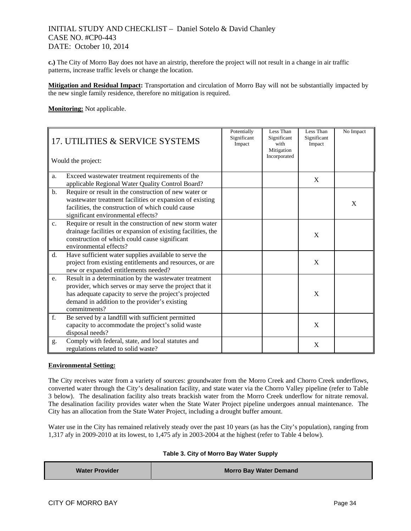**c.)** The City of Morro Bay does not have an airstrip, therefore the project will not result in a change in air traffic patterns, increase traffic levels or change the location.

**Mitigation and Residual Impact:** Transportation and circulation of Morro Bay will not be substantially impacted by the new single family residence, therefore no mitigation is required.

**Monitoring:** Not applicable.

| 17. UTILITIES & SERVICE SYSTEMS<br>Would the project: |                                                                                                                                                                                                                                             | Potentially<br>Significant<br>Impact | Less Than<br>Significant<br>with<br>Mitigation<br>Incorporated | Less Than<br>Significant<br>Impact | No Impact |
|-------------------------------------------------------|---------------------------------------------------------------------------------------------------------------------------------------------------------------------------------------------------------------------------------------------|--------------------------------------|----------------------------------------------------------------|------------------------------------|-----------|
| a.                                                    | Exceed wastewater treatment requirements of the<br>applicable Regional Water Quality Control Board?                                                                                                                                         |                                      |                                                                | X                                  |           |
| b.                                                    | Require or result in the construction of new water or<br>wastewater treatment facilities or expansion of existing<br>facilities, the construction of which could cause<br>significant environmental effects?                                |                                      |                                                                |                                    | X         |
| C <sub>1</sub>                                        | Require or result in the construction of new storm water<br>drainage facilities or expansion of existing facilities, the<br>construction of which could cause significant<br>environmental effects?                                         |                                      |                                                                | X                                  |           |
| d.                                                    | Have sufficient water supplies available to serve the<br>project from existing entitlements and resources, or are<br>new or expanded entitlements needed?                                                                                   |                                      |                                                                | X                                  |           |
| e.                                                    | Result in a determination by the wastewater treatment<br>provider, which serves or may serve the project that it<br>has adequate capacity to serve the project's projected<br>demand in addition to the provider's existing<br>commitments? |                                      |                                                                | X                                  |           |
| f.                                                    | Be served by a landfill with sufficient permitted<br>capacity to accommodate the project's solid waste<br>disposal needs?                                                                                                                   |                                      |                                                                | X                                  |           |
| g.                                                    | Comply with federal, state, and local statutes and<br>regulations related to solid waste?                                                                                                                                                   |                                      |                                                                | X                                  |           |

## **Environmental Setting:**

The City receives water from a variety of sources: groundwater from the Morro Creek and Chorro Creek underflows, converted water through the City's desalination facility, and state water via the Chorro Valley pipeline (refer to Table 3 below). The desalination facility also treats brackish water from the Morro Creek underflow for nitrate removal. The desalination facility provides water when the State Water Project pipeline undergoes annual maintenance. The City has an allocation from the State Water Project, including a drought buffer amount.

Water use in the City has remained relatively steady over the past 10 years (as has the City's population), ranging from 1,317 afy in 2009-2010 at its lowest, to 1,475 afy in 2003-2004 at the highest (refer to Table 4 below).

### **Table 3. City of Morro Bay Water Supply**

| <b>Water Provider</b> | <b>Morro Bay Water Demand</b> |
|-----------------------|-------------------------------|
|                       |                               |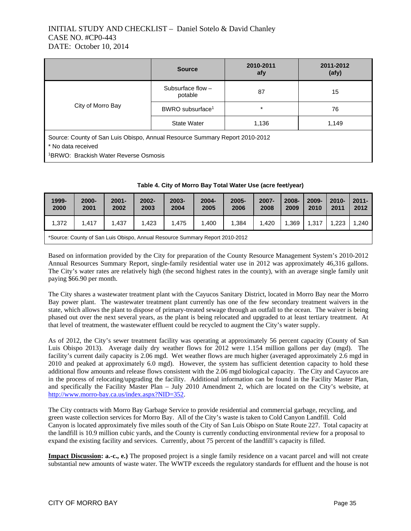|                                                                                                                                                        | <b>Source</b>                  | 2010-2011<br>afy | 2011-2012<br>(afy) |  |  |
|--------------------------------------------------------------------------------------------------------------------------------------------------------|--------------------------------|------------------|--------------------|--|--|
|                                                                                                                                                        | Subsurface flow $-$<br>potable | 87               | 15                 |  |  |
| City of Morro Bay                                                                                                                                      | BWRO subsurface <sup>1</sup>   | $\star$          | 76                 |  |  |
|                                                                                                                                                        | <b>State Water</b><br>1,136    |                  | 1.149              |  |  |
| Source: County of San Luis Obispo, Annual Resource Summary Report 2010-2012<br>* No data received<br><sup>1</sup> BRWO: Brackish Water Reverse Osmosis |                                |                  |                    |  |  |

| 2000-<br>2001 | $2001 -$<br>2002 | $2002 -$<br>2003 | 2003-<br>2004 | 2004-<br>2005 | $2005 -$<br>2006 | 2007- 2008- 2009- 2010-<br>2008 | $\vert$ 2009 2010 2011 |  |
|---------------|------------------|------------------|---------------|---------------|------------------|---------------------------------|------------------------|--|
|               |                  |                  |               |               |                  |                                 |                        |  |

1,372 | 1,417 | 1,437 | 1,423 | 1,475 | 1,400 | 1,384 | 1,420 |1,369 | 1,317 | 1,223 | 1,240

|  | Table 4. City of Morro Bay Total Water Use (acre feet/year) |  |
|--|-------------------------------------------------------------|--|
|--|-------------------------------------------------------------|--|

| *Source: County of San Luis Obispo, Annual Resource Summary Report 2010-2012 |  |  |
|------------------------------------------------------------------------------|--|--|
|                                                                              |  |  |

Based on information provided by the City for preparation of the County Resource Management System's 2010-2012 Annual Resources Summary Report, single-family residential water use in 2012 was approximately 46,316 gallons. The City's water rates are relatively high (the second highest rates in the county), with an average single family unit paying \$66.90 per month.

The City shares a wastewater treatment plant with the Cayucos Sanitary District, located in Morro Bay near the Morro Bay power plant. The wastewater treatment plant currently has one of the few secondary treatment waivers in the state, which allows the plant to dispose of primary-treated sewage through an outfall to the ocean. The waiver is being phased out over the next several years, as the plant is being relocated and upgraded to at least tertiary treatment. At that level of treatment, the wastewater effluent could be recycled to augment the City's water supply.

As of 2012, the City's sewer treatment facility was operating at approximately 56 percent capacity (County of San Luis Obispo 2013). Average daily dry weather flows for 2012 were 1.154 million gallons per day (mgd). The facility's current daily capacity is 2.06 mgd. Wet weather flows are much higher (averaged approximately 2.6 mgd in 2010 and peaked at approximately 6.0 mgd). However, the system has sufficient detention capacity to hold these additional flow amounts and release flows consistent with the 2.06 mgd biological capacity. The City and Cayucos are in the process of relocating/upgrading the facility. Additional information can be found in the Facility Master Plan, and specifically the Facility Master Plan – July 2010 Amendment 2, which are located on the City's website, at http://www.morro-bay.ca.us/index.aspx?NID=352.

The City contracts with Morro Bay Garbage Service to provide residential and commercial garbage, recycling, and green waste collection services for Morro Bay. All of the City's waste is taken to Cold Canyon Landfill. Cold Canyon is located approximately five miles south of the City of San Luis Obispo on State Route 227. Total capacity at the landfill is 10.9 million cubic yards, and the County is currently conducting environmental review for a proposal to expand the existing facility and services. Currently, about 75 percent of the landfill's capacity is filled.

**Impact Discussion: a.-c., e.)** The proposed project is a single family residence on a vacant parcel and will not create substantial new amounts of waste water. The WWTP exceeds the regulatory standards for effluent and the house is not

**1999- 2000**  **2000-**

**2011- 2012**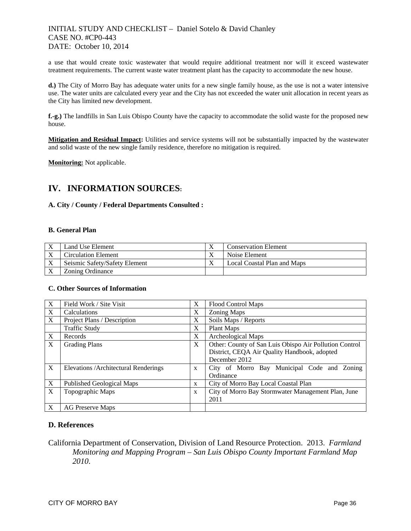a use that would create toxic wastewater that would require additional treatment nor will it exceed wastewater treatment requirements. The current waste water treatment plant has the capacity to accommodate the new house.

**d.)** The City of Morro Bay has adequate water units for a new single family house, as the use is not a water intensive use. The water units are calculated every year and the City has not exceeded the water unit allocation in recent years as the City has limited new development.

**f.-g.)** The landfills in San Luis Obispo County have the capacity to accommodate the solid waste for the proposed new house.

**Mitigation and Residual Impact:** Utilities and service systems will not be substantially impacted by the wastewater and solid waste of the new single family residence, therefore no mitigation is required.

**Monitoring:** Not applicable.

# **IV. INFORMATION SOURCES:**

## **A. City / County / Federal Departments Consulted :**

### **B. General Plan**

| Land Use Element              | <b>Conservation Element</b> |
|-------------------------------|-----------------------------|
| Circulation Element           | Noise Element               |
| Seismic Safety/Safety Element | Local Coastal Plan and Maps |
| Zoning Ordinance              |                             |

## **C. Other Sources of Information**

| X | Field Work / Site Visit               | X | <b>Flood Control Maps</b>                              |
|---|---------------------------------------|---|--------------------------------------------------------|
| X | Calculations                          | X | <b>Zoning Maps</b>                                     |
| X | Project Plans / Description           | X | Soils Maps / Reports                                   |
|   | <b>Traffic Study</b>                  | X | Plant Maps                                             |
| X | Records                               | X | Archeological Maps                                     |
| X | <b>Grading Plans</b>                  | X | Other: County of San Luis Obispo Air Pollution Control |
|   |                                       |   | District, CEQA Air Quality Handbook, adopted           |
|   |                                       |   | December 2012                                          |
| X | Elevations / Architectural Renderings | X | City of Morro Bay Municipal Code and Zoning            |
|   |                                       |   | Ordinance                                              |
| X | Published Geological Maps             | X | City of Morro Bay Local Coastal Plan                   |
| X | Topographic Maps                      | X | City of Morro Bay Stormwater Management Plan, June     |
|   |                                       |   | 2011                                                   |
| X | <b>AG Preserve Maps</b>               |   |                                                        |

## **D. References**

California Department of Conservation, Division of Land Resource Protection. 2013. *Farmland Monitoring and Mapping Program – San Luis Obispo County Important Farmland Map 2010*.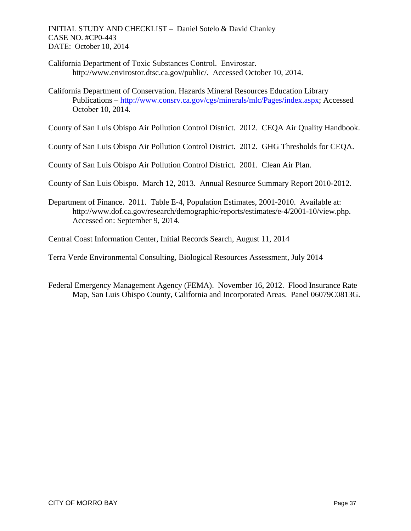California Department of Toxic Substances Control. Envirostar. http://www.envirostor.dtsc.ca.gov/public/. Accessed October 10, 2014.

California Department of Conservation. Hazards Mineral Resources Education Library Publications – http://www.consrv.ca.gov/cgs/minerals/mlc/Pages/index.aspx; Accessed October 10, 2014.

County of San Luis Obispo Air Pollution Control District. 2012. CEQA Air Quality Handbook.

County of San Luis Obispo Air Pollution Control District. 2012. GHG Thresholds for CEQA.

County of San Luis Obispo Air Pollution Control District. 2001. Clean Air Plan.

County of San Luis Obispo. March 12, 2013. Annual Resource Summary Report 2010-2012.

Department of Finance. 2011. Table E-4, Population Estimates, 2001-2010. Available at: http://www.dof.ca.gov/research/demographic/reports/estimates/e-4/2001-10/view.php. Accessed on: September 9, 2014.

Central Coast Information Center, Initial Records Search, August 11, 2014

Terra Verde Environmental Consulting, Biological Resources Assessment, July 2014

Federal Emergency Management Agency (FEMA). November 16, 2012. Flood Insurance Rate Map, San Luis Obispo County, California and Incorporated Areas. Panel 06079C0813G.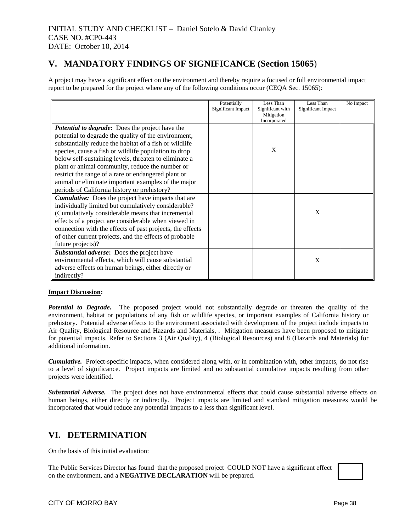# **V. MANDATORY FINDINGS OF SIGNIFICANCE (Section 15065**)

A project may have a significant effect on the environment and thereby require a focused or full environmental impact report to be prepared for the project where any of the following conditions occur (CEQA Sec. 15065):

|                                                           | Potentially        | Less Than                      | Less Than          | No Impact |
|-----------------------------------------------------------|--------------------|--------------------------------|--------------------|-----------|
|                                                           | Significant Impact | Significant with<br>Mitigation | Significant Impact |           |
|                                                           |                    | Incorporated                   |                    |           |
| <b>Potential to degrade:</b> Does the project have the    |                    |                                |                    |           |
| potential to degrade the quality of the environment,      |                    |                                |                    |           |
| substantially reduce the habitat of a fish or wildlife    |                    |                                |                    |           |
| species, cause a fish or wildlife population to drop      |                    | X                              |                    |           |
| below self-sustaining levels, threaten to eliminate a     |                    |                                |                    |           |
| plant or animal community, reduce the number or           |                    |                                |                    |           |
| restrict the range of a rare or endangered plant or       |                    |                                |                    |           |
| animal or eliminate important examples of the major       |                    |                                |                    |           |
| periods of California history or prehistory?              |                    |                                |                    |           |
| <b>Cumulative:</b> Does the project have impacts that are |                    |                                |                    |           |
| individually limited but cumulatively considerable?       |                    |                                |                    |           |
| (Cumulatively considerable means that incremental         |                    |                                | X                  |           |
| effects of a project are considerable when viewed in      |                    |                                |                    |           |
| connection with the effects of past projects, the effects |                    |                                |                    |           |
| of other current projects, and the effects of probable    |                    |                                |                    |           |
| future projects)?                                         |                    |                                |                    |           |
| Substantial adverse: Does the project have                |                    |                                |                    |           |
| environmental effects, which will cause substantial       |                    |                                | X                  |           |
| adverse effects on human beings, either directly or       |                    |                                |                    |           |
| indirectly?                                               |                    |                                |                    |           |

## **Impact Discussion:**

*Potential to Degrade.* The proposed project would not substantially degrade or threaten the quality of the environment, habitat or populations of any fish or wildlife species, or important examples of California history or prehistory. Potential adverse effects to the environment associated with development of the project include impacts to Air Quality, Biological Resource and Hazards and Materials, . Mitigation measures have been proposed to mitigate for potential impacts. Refer to Sections 3 (Air Quality), 4 (Biological Resources) and 8 (Hazards and Materials) for additional information.

*Cumulative.* Project-specific impacts, when considered along with, or in combination with, other impacts, do not rise to a level of significance. Project impacts are limited and no substantial cumulative impacts resulting from other projects were identified.

*Substantial Adverse.* The project does not have environmental effects that could cause substantial adverse effects on human beings, either directly or indirectly. Project impacts are limited and standard mitigation measures would be incorporated that would reduce any potential impacts to a less than significant level.

# **VI. DETERMINATION**

On the basis of this initial evaluation:

The Public Services Director has found that the proposed project COULD NOT have a significant effect on the environment, and a **NEGATIVE DECLARATION** will be prepared.

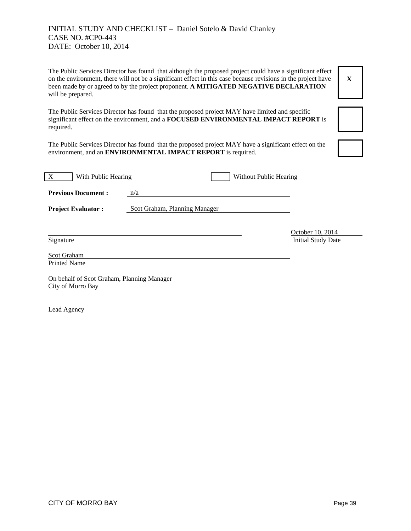The Public Services Director has found that although the proposed project could have a significant effect on the environment, there will not be a significant effect in this case because revisions in the project have been made by or agreed to by the project proponent. **A MITIGATED NEGATIVE DECLARATION** will be prepared.



significant effect on the environment, and a **FOCUSED ENVIRONMENTAL IMPACT REPORT** is required.

The Public Services Director has found that the proposed project MAY have limited and specific

The Public Services Director has found that the proposed project MAY have a significant effect on the environment, and an **ENVIRONMENTAL IMPACT REPORT** is required.

| X<br>With Public Hearing                                        |                               | Without Public Hearing |                                        |  |
|-----------------------------------------------------------------|-------------------------------|------------------------|----------------------------------------|--|
| <b>Previous Document:</b>                                       | n/a                           |                        |                                        |  |
| <b>Project Evaluator:</b>                                       | Scot Graham, Planning Manager |                        |                                        |  |
|                                                                 |                               |                        |                                        |  |
| Signature                                                       |                               |                        | October 10, 2014<br>Initial Study Date |  |
| Scot Graham<br><b>Printed Name</b>                              |                               |                        |                                        |  |
| On behalf of Scot Graham, Planning Manager<br>City of Morro Bay |                               |                        |                                        |  |

Lead Agency

l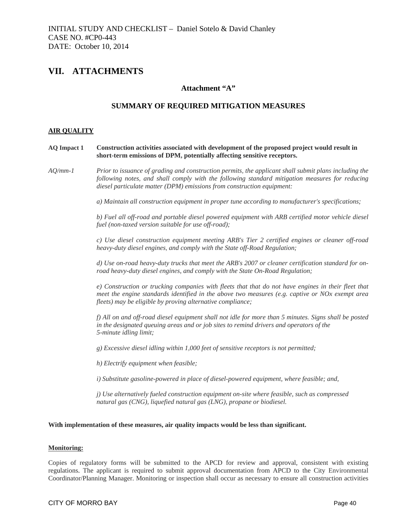# **VII. ATTACHMENTS**

## **Attachment "A"**

# **SUMMARY OF REQUIRED MITIGATION MEASURES**

#### **AIR QUALITY**

#### **AQ Impact 1 Construction activities associated with development of the proposed project would result in short-term emissions of DPM, potentially affecting sensitive receptors.**

*AQ/mm-1 Prior to issuance of grading and construction permits, the applicant shall submit plans including the following notes, and shall comply with the following standard mitigation measures for reducing diesel particulate matter (DPM) emissions from construction equipment:* 

*a) Maintain all construction equipment in proper tune according to manufacturer's specifications;* 

*b) Fuel all off-road and portable diesel powered equipment with ARB certified motor vehicle diesel fuel (non-taxed version suitable for use off-road);* 

*c) Use diesel construction equipment meeting ARB's Tier 2 certified engines or cleaner off-road heavy-duty diesel engines, and comply with the State off-Road Regulation;* 

*d) Use on-road heavy-duty trucks that meet the ARB's 2007 or cleaner certification standard for onroad heavy-duty diesel engines, and comply with the State On-Road Regulation;* 

*e) Construction or trucking companies with fleets that that do not have engines in their fleet that meet the engine standards identified in the above two measures (e.g. captive or NOx exempt area fleets) may be eligible by proving alternative compliance;* 

*f) All on and off-road diesel equipment shall not idle for more than 5 minutes. Signs shall be posted in the designated queuing areas and or job sites to remind drivers and operators of the 5-minute idling limit;* 

*g) Excessive diesel idling within 1,000 feet of sensitive receptors is not permitted;* 

*h) Electrify equipment when feasible;* 

*i) Substitute gasoline-powered in place of diesel-powered equipment, where feasible; and,* 

*j) Use alternatively fueled construction equipment on-site where feasible, such as compressed natural gas (CNG), liquefied natural gas (LNG), propane or biodiesel.* 

#### With implementation of these measures, air quality impacts would be less than significant.

#### **Monitoring:**

Copies of regulatory forms will be submitted to the APCD for review and approval, consistent with existing regulations. The applicant is required to submit approval documentation from APCD to the City Environmental Coordinator/Planning Manager. Monitoring or inspection shall occur as necessary to ensure all construction activities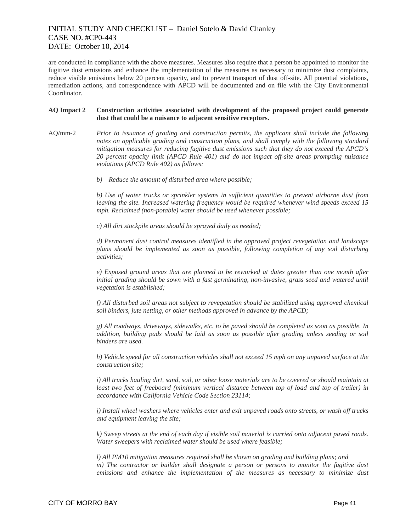are conducted in compliance with the above measures. Measures also require that a person be appointed to monitor the fugitive dust emissions and enhance the implementation of the measures as necessary to minimize dust complaints, reduce visible emissions below 20 percent opacity, and to prevent transport of dust off-site. All potential violations, remediation actions, and correspondence with APCD will be documented and on file with the City Environmental Coordinator.

#### **AQ Impact 2 Construction activities associated with development of the proposed project could generate dust that could be a nuisance to adjacent sensitive receptors.**

- AQ/mm-2*Prior to issuance of grading and construction permits, the applicant shall include the following notes on applicable grading and construction plans, and shall comply with the following standard mitigation measures for reducing fugitive dust emissions such that they do not exceed the APCD's 20 percent opacity limit (APCD Rule 401) and do not impact off-site areas prompting nuisance violations (APCD Rule 402) as follows:* 
	- *b) Reduce the amount of disturbed area where possible;*

*b) Use of water trucks or sprinkler systems in sufficient quantities to prevent airborne dust from leaving the site. Increased watering frequency would be required whenever wind speeds exceed 15 mph. Reclaimed (non-potable) water should be used whenever possible;* 

*c) All dirt stockpile areas should be sprayed daily as needed;* 

*d) Permanent dust control measures identified in the approved project revegetation and landscape plans should be implemented as soon as possible, following completion of any soil disturbing activities;* 

*e) Exposed ground areas that are planned to be reworked at dates greater than one month after initial grading should be sown with a fast germinating, non-invasive, grass seed and watered until vegetation is established;* 

*f) All disturbed soil areas not subject to revegetation should be stabilized using approved chemical soil binders, jute netting, or other methods approved in advance by the APCD;* 

*g) All roadways, driveways, sidewalks, etc. to be paved should be completed as soon as possible. In addition, building pads should be laid as soon as possible after grading unless seeding or soil binders are used.* 

*h) Vehicle speed for all construction vehicles shall not exceed 15 mph on any unpaved surface at the construction site;* 

*i) All trucks hauling dirt, sand, soil, or other loose materials are to be covered or should maintain at least two feet of freeboard (minimum vertical distance between top of load and top of trailer) in accordance with California Vehicle Code Section 23114;* 

*j) Install wheel washers where vehicles enter and exit unpaved roads onto streets, or wash off trucks and equipment leaving the site;* 

*k) Sweep streets at the end of each day if visible soil material is carried onto adjacent paved roads. Water sweepers with reclaimed water should be used where feasible;* 

*l) All PM10 mitigation measures required shall be shown on grading and building plans; and m) The contractor or builder shall designate a person or persons to monitor the fugitive dust emissions and enhance the implementation of the measures as necessary to minimize dust*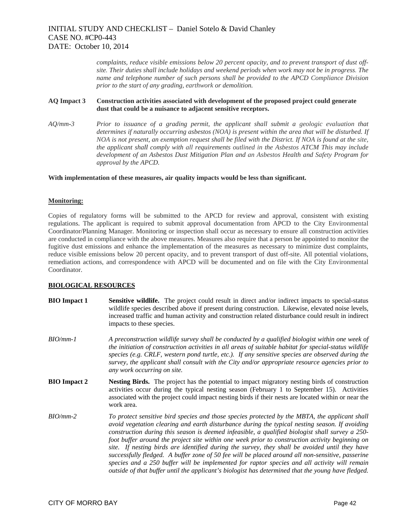*complaints, reduce visible emissions below 20 percent opacity, and to prevent transport of dust offsite. Their duties shall include holidays and weekend periods when work may not be in progress. The name and telephone number of such persons shall be provided to the APCD Compliance Division prior to the start of any grading, earthwork or demolition.* 

### **AQ Impact 3 Construction activities associated with development of the proposed project could generate dust that could be a nuisance to adjacent sensitive receptors.**

*AQ/mm-3 Prior to issuance of a grading permit, the applicant shall submit a geologic evaluation that determines if naturally occurring asbestos (NOA) is present within the area that will be disturbed. If NOA is not present, an exemption request shall be filed with the District. If NOA is found at the site, the applicant shall comply with all requirements outlined in the Asbestos ATCM This may include development of an Asbestos Dust Mitigation Plan and an Asbestos Health and Safety Program for approval by the APCD.* 

With implementation of these measures, air quality impacts would be less than significant.

#### **Monitoring:**

Copies of regulatory forms will be submitted to the APCD for review and approval, consistent with existing regulations. The applicant is required to submit approval documentation from APCD to the City Environmental Coordinator/Planning Manager. Monitoring or inspection shall occur as necessary to ensure all construction activities are conducted in compliance with the above measures. Measures also require that a person be appointed to monitor the fugitive dust emissions and enhance the implementation of the measures as necessary to minimize dust complaints, reduce visible emissions below 20 percent opacity, and to prevent transport of dust off-site. All potential violations, remediation actions, and correspondence with APCD will be documented and on file with the City Environmental Coordinator.

## **BIOLOGICAL RESOURCES**

- **BIO Impact 1 Sensitive wildlife.** The project could result in direct and/or indirect impacts to special-status wildlife species described above if present during construction. Likewise, elevated noise levels, increased traffic and human activity and construction related disturbance could result in indirect impacts to these species.
- *BIO/mm-1 A preconstruction wildlife survey shall be conducted by a qualified biologist within one week of the initiation of construction activities in all areas of suitable habitat for special-status wildlife species (e.g. CRLF, western pond turtle, etc.). If any sensitive species are observed during the survey, the applicant shall consult with the City and/or appropriate resource agencies prior to any work occurring on site.*
- **BIO Impact 2 Nesting Birds.** The project has the potential to impact migratory nesting birds of construction activities occur during the typical nesting season (February 1 to September 15). Activities associated with the project could impact nesting birds if their nests are located within or near the work area.
- *BIO/mm-2 To protect sensitive bird species and those species protected by the MBTA, the applicant shall avoid vegetation clearing and earth disturbance during the typical nesting season. If avoiding construction during this season is deemed infeasible, a qualified biologist shall survey a 250 foot buffer around the project site within one week prior to construction activity beginning on site. If nesting birds are identified during the survey, they shall be avoided until they have successfully fledged. A buffer zone of 50 fee will be placed around all non-sensitive, passerine species and a 250 buffer will be implemented for raptor species and all activity will remain outside of that buffer until the applicant's biologist has determined that the young have fledged.*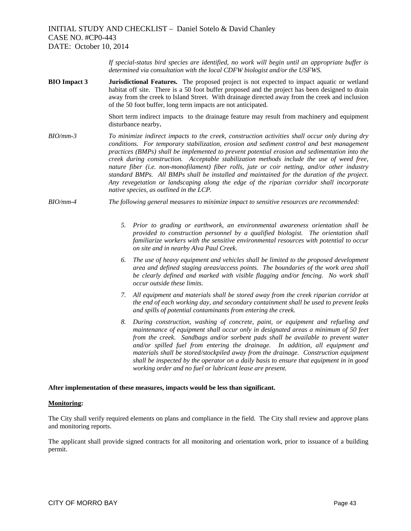*If special-status bird species are identified, no work will begin until an appropriate buffer is determined via consultation with the local CDFW biologist and/or the USFWS.* 

**BIO Impact 3 Jurisdictional Features.** The proposed project is not expected to impact aquatic or wetland habitat off site. There is a 50 foot buffer proposed and the project has been designed to drain away from the creek to Island Street. With drainage directed away from the creek and inclusion of the 50 foot buffer, long term impacts are not anticipated.

> Short term indirect impacts to the drainage feature may result from machinery and equipment disturbance nearby**.**

- *BIO/mm-3 To minimize indirect impacts to the creek, construction activities shall occur only during dry conditions. For temporary stabilization, erosion and sediment control and best management practices (BMPs) shall be implemented to prevent potential erosion and sedimentation into the creek during construction. Acceptable stabilization methods include the use of weed free, nature fiber (i.e. non-monofilament) fiber rolls, jute or coir netting, and/or other industry standard BMPs. All BMPs shall be installed and maintained for the duration of the project. Any revegetation or landscaping along the edge of the riparian corridor shall incorporate native species, as outlined in the LCP.*
- *BIO/mm-4 The following general measures to minimize impact to sensitive resources are recommended:* 
	- *5. Prior to grading or earthwork, an environmental awareness orientation shall be provided to construction personnel by a qualified biologist. The orientation shall familiarize workers with the sensitive environmental resources with potential to occur on site and in nearby Alva Paul Creek.*
	- *6. The use of heavy equipment and vehicles shall be limited to the proposed development area and defined staging areas/access points. The boundaries of the work area shall be clearly defined and marked with visible flagging and/or fencing. No work shall occur outside these limits.*
	- *7. All equipment and materials shall be stored away from the creek riparian corridor at the end of each working day, and secondary containment shall be used to prevent leaks and spills of potential contaminants from entering the creek.*
	- *8. During construction, washing of concrete, paint, or equipment and refueling and maintenance of equipment shall occur only in designated areas a minimum of 50 feet from the creek. Sandbags and/or sorbent pads shall be available to prevent water and/or spilled fuel from entering the drainage. In addition, all equipment and materials shall be stored/stockpiled away from the drainage. Construction equipment shall be inspected by the operator on a daily basis to ensure that equipment in in good working order and no fuel or lubricant lease are present.*

#### **After implementation of these measures, impacts would be less than significant.**

#### **Monitoring:**

The City shall verify required elements on plans and compliance in the field. The City shall review and approve plans and monitoring reports.

The applicant shall provide signed contracts for all monitoring and orientation work, prior to issuance of a building permit.